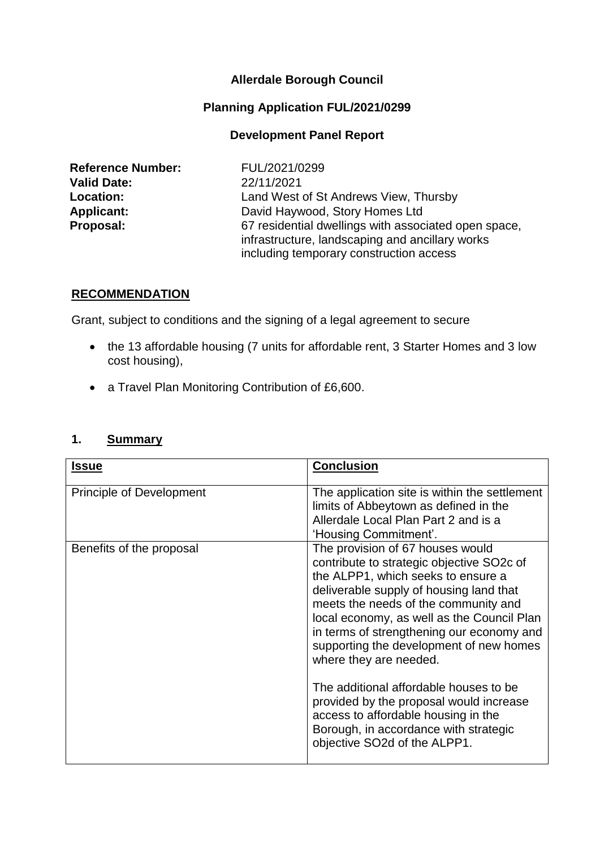## **Allerdale Borough Council**

#### **Planning Application FUL/2021/0299**

#### **Development Panel Report**

| <b>Reference Number:</b> |
|--------------------------|
| <b>Valid Date:</b>       |
| Location:                |
| <b>Applicant:</b>        |
| Proposal:                |

**Reference Number:** FUL/2021/0299 **Valid Date:** 22/11/2021 Land West of St Andrews View, Thursby **Applicant:** David Haywood, Story Homes Ltd 67 residential dwellings with associated open space, infrastructure, landscaping and ancillary works including temporary construction access

#### **RECOMMENDATION**

Grant, subject to conditions and the signing of a legal agreement to secure

- the 13 affordable housing (7 units for affordable rent, 3 Starter Homes and 3 low cost housing),
- a Travel Plan Monitoring Contribution of £6,600.

#### **1. Summary**

| <b>Issue</b>             | <b>Conclusion</b>                                                                                                                                                                                                                                                                                                                                                                                                                                                                                                                                                           |
|--------------------------|-----------------------------------------------------------------------------------------------------------------------------------------------------------------------------------------------------------------------------------------------------------------------------------------------------------------------------------------------------------------------------------------------------------------------------------------------------------------------------------------------------------------------------------------------------------------------------|
| Principle of Development | The application site is within the settlement<br>limits of Abbeytown as defined in the<br>Allerdale Local Plan Part 2 and is a<br>'Housing Commitment'.                                                                                                                                                                                                                                                                                                                                                                                                                     |
| Benefits of the proposal | The provision of 67 houses would<br>contribute to strategic objective SO2c of<br>the ALPP1, which seeks to ensure a<br>deliverable supply of housing land that<br>meets the needs of the community and<br>local economy, as well as the Council Plan<br>in terms of strengthening our economy and<br>supporting the development of new homes<br>where they are needed.<br>The additional affordable houses to be<br>provided by the proposal would increase<br>access to affordable housing in the<br>Borough, in accordance with strategic<br>objective SO2d of the ALPP1. |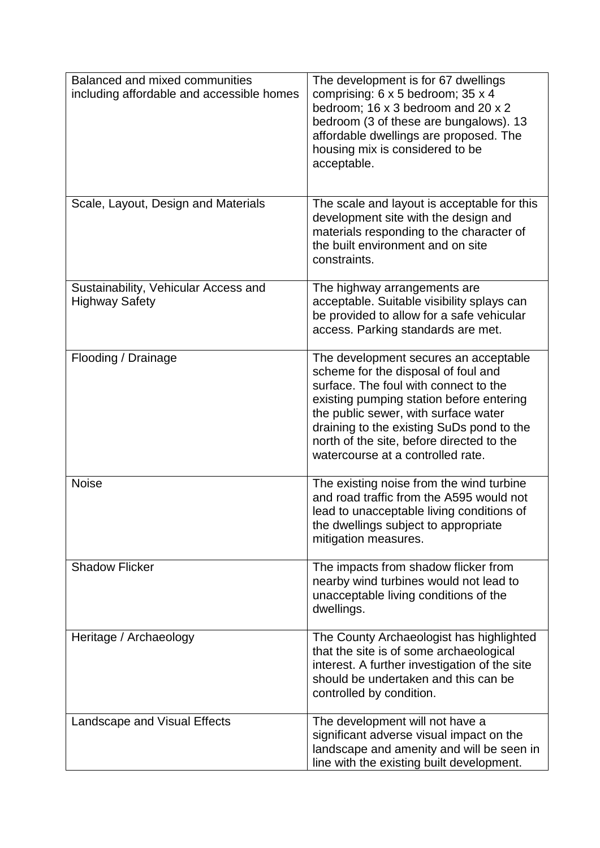| Balanced and mixed communities<br>including affordable and accessible homes | The development is for 67 dwellings<br>comprising: 6 x 5 bedroom; 35 x 4<br>bedroom; 16 x 3 bedroom and 20 x 2<br>bedroom (3 of these are bungalows). 13<br>affordable dwellings are proposed. The<br>housing mix is considered to be<br>acceptable.                                                                                     |
|-----------------------------------------------------------------------------|------------------------------------------------------------------------------------------------------------------------------------------------------------------------------------------------------------------------------------------------------------------------------------------------------------------------------------------|
| Scale, Layout, Design and Materials                                         | The scale and layout is acceptable for this<br>development site with the design and<br>materials responding to the character of<br>the built environment and on site<br>constraints.                                                                                                                                                     |
| Sustainability, Vehicular Access and<br><b>Highway Safety</b>               | The highway arrangements are<br>acceptable. Suitable visibility splays can<br>be provided to allow for a safe vehicular<br>access. Parking standards are met.                                                                                                                                                                            |
| Flooding / Drainage                                                         | The development secures an acceptable<br>scheme for the disposal of foul and<br>surface. The foul with connect to the<br>existing pumping station before entering<br>the public sewer, with surface water<br>draining to the existing SuDs pond to the<br>north of the site, before directed to the<br>watercourse at a controlled rate. |
| <b>Noise</b>                                                                | The existing noise from the wind turbine<br>and road traffic from the A595 would not<br>lead to unacceptable living conditions of<br>the dwellings subject to appropriate<br>mitigation measures.                                                                                                                                        |
| <b>Shadow Flicker</b>                                                       | The impacts from shadow flicker from<br>nearby wind turbines would not lead to<br>unacceptable living conditions of the<br>dwellings.                                                                                                                                                                                                    |
| Heritage / Archaeology                                                      | The County Archaeologist has highlighted<br>that the site is of some archaeological<br>interest. A further investigation of the site<br>should be undertaken and this can be<br>controlled by condition.                                                                                                                                 |
| Landscape and Visual Effects                                                | The development will not have a<br>significant adverse visual impact on the<br>landscape and amenity and will be seen in<br>line with the existing built development.                                                                                                                                                                    |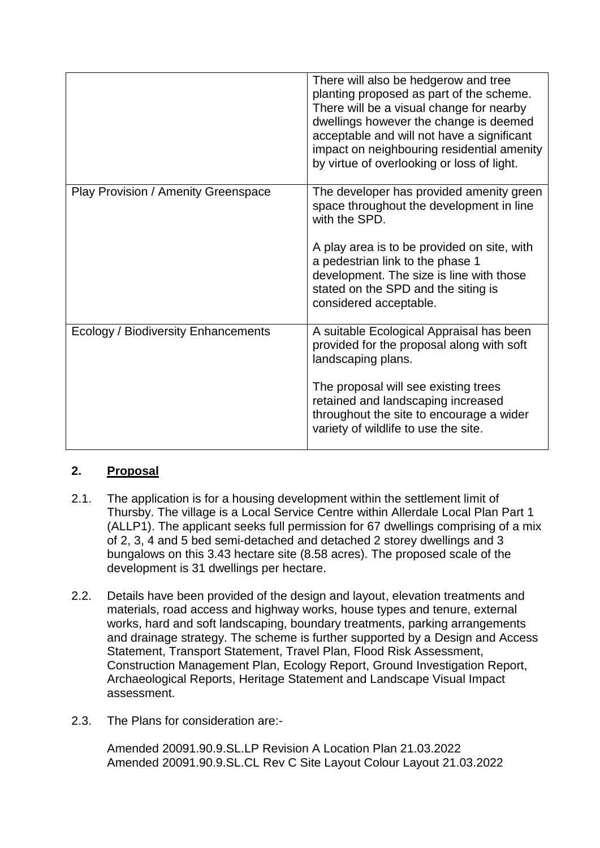|                                            | There will also be hedgerow and tree<br>planting proposed as part of the scheme.<br>There will be a visual change for nearby<br>dwellings however the change is deemed<br>acceptable and will not have a significant<br>impact on neighbouring residential amenity<br>by virtue of overlooking or loss of light. |
|--------------------------------------------|------------------------------------------------------------------------------------------------------------------------------------------------------------------------------------------------------------------------------------------------------------------------------------------------------------------|
| Play Provision / Amenity Greenspace        | The developer has provided amenity green<br>space throughout the development in line<br>with the SPD.<br>A play area is to be provided on site, with<br>a pedestrian link to the phase 1<br>development. The size is line with those<br>stated on the SPD and the siting is<br>considered acceptable.            |
| <b>Ecology / Biodiversity Enhancements</b> | A suitable Ecological Appraisal has been<br>provided for the proposal along with soft<br>landscaping plans.<br>The proposal will see existing trees<br>retained and landscaping increased<br>throughout the site to encourage a wider<br>variety of wildlife to use the site.                                    |

# **2. Proposal**

- 2.1. The application is for a housing development within the settlement limit of Thursby. The village is a Local Service Centre within Allerdale Local Plan Part 1 (ALLP1). The applicant seeks full permission for 67 dwellings comprising of a mix of 2, 3, 4 and 5 bed semi-detached and detached 2 storey dwellings and 3 bungalows on this 3.43 hectare site (8.58 acres). The proposed scale of the development is 31 dwellings per hectare.
- 2.2. Details have been provided of the design and layout, elevation treatments and materials, road access and highway works, house types and tenure, external works, hard and soft landscaping, boundary treatments, parking arrangements and drainage strategy. The scheme is further supported by a Design and Access Statement, Transport Statement, Travel Plan, Flood Risk Assessment, Construction Management Plan, Ecology Report, Ground Investigation Report, Archaeological Reports, Heritage Statement and Landscape Visual Impact assessment.
- 2.3. The Plans for consideration are:-

Amended 20091.90.9.SL.LP Revision A Location Plan 21.03.2022 Amended 20091.90.9.SL.CL Rev C Site Layout Colour Layout 21.03.2022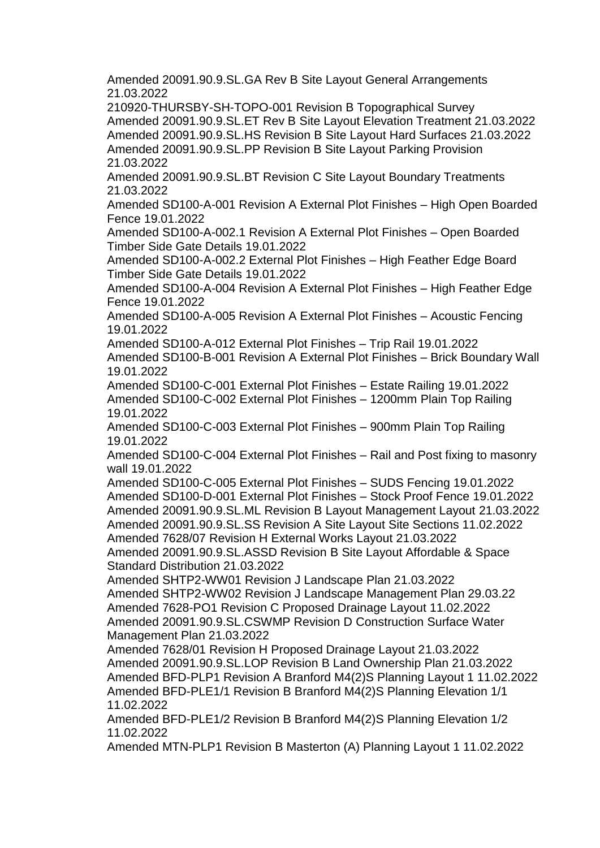Amended 20091.90.9.SL.GA Rev B Site Layout General Arrangements 21.03.2022

210920-THURSBY-SH-TOPO-001 Revision B Topographical Survey Amended 20091.90.9.SL.ET Rev B Site Layout Elevation Treatment 21.03.2022 Amended 20091.90.9.SL.HS Revision B Site Layout Hard Surfaces 21.03.2022 Amended 20091.90.9.SL.PP Revision B Site Layout Parking Provision 21.03.2022

Amended 20091.90.9.SL.BT Revision C Site Layout Boundary Treatments 21.03.2022

Amended SD100-A-001 Revision A External Plot Finishes – High Open Boarded Fence 19.01.2022

Amended SD100-A-002.1 Revision A External Plot Finishes – Open Boarded Timber Side Gate Details 19.01.2022

Amended SD100-A-002.2 External Plot Finishes – High Feather Edge Board Timber Side Gate Details 19.01.2022

Amended SD100-A-004 Revision A External Plot Finishes – High Feather Edge Fence 19.01.2022

Amended SD100-A-005 Revision A External Plot Finishes – Acoustic Fencing 19.01.2022

Amended SD100-A-012 External Plot Finishes – Trip Rail 19.01.2022 Amended SD100-B-001 Revision A External Plot Finishes – Brick Boundary Wall 19.01.2022

Amended SD100-C-001 External Plot Finishes – Estate Railing 19.01.2022 Amended SD100-C-002 External Plot Finishes – 1200mm Plain Top Railing 19.01.2022

Amended SD100-C-003 External Plot Finishes – 900mm Plain Top Railing 19.01.2022

Amended SD100-C-004 External Plot Finishes – Rail and Post fixing to masonry wall 19.01.2022

Amended SD100-C-005 External Plot Finishes – SUDS Fencing 19.01.2022 Amended SD100-D-001 External Plot Finishes – Stock Proof Fence 19.01.2022 Amended 20091.90.9.SL.ML Revision B Layout Management Layout 21.03.2022 Amended 20091.90.9.SL.SS Revision A Site Layout Site Sections 11.02.2022 Amended 7628/07 Revision H External Works Layout 21.03.2022

Amended 20091.90.9.SL.ASSD Revision B Site Layout Affordable & Space Standard Distribution 21.03.2022

Amended SHTP2-WW01 Revision J Landscape Plan 21.03.2022 Amended SHTP2-WW02 Revision J Landscape Management Plan 29.03.22 Amended 7628-PO1 Revision C Proposed Drainage Layout 11.02.2022 Amended 20091.90.9.SL.CSWMP Revision D Construction Surface Water Management Plan 21.03.2022

Amended 7628/01 Revision H Proposed Drainage Layout 21.03.2022 Amended 20091.90.9.SL.LOP Revision B Land Ownership Plan 21.03.2022 Amended BFD-PLP1 Revision A Branford M4(2)S Planning Layout 1 11.02.2022 Amended BFD-PLE1/1 Revision B Branford M4(2)S Planning Elevation 1/1 11.02.2022

Amended BFD-PLE1/2 Revision B Branford M4(2)S Planning Elevation 1/2 11.02.2022

Amended MTN-PLP1 Revision B Masterton (A) Planning Layout 1 11.02.2022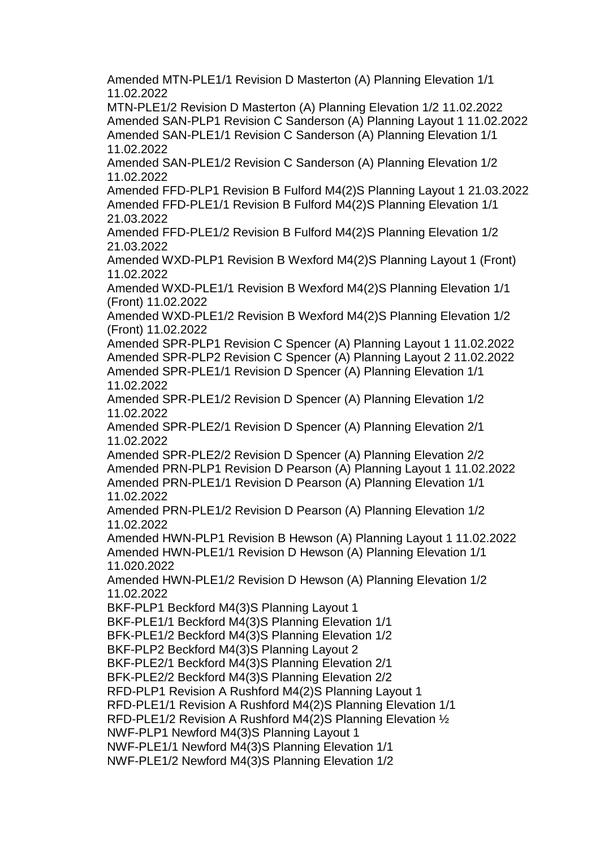Amended MTN-PLE1/1 Revision D Masterton (A) Planning Elevation 1/1 11.02.2022

MTN-PLE1/2 Revision D Masterton (A) Planning Elevation 1/2 11.02.2022 Amended SAN-PLP1 Revision C Sanderson (A) Planning Layout 1 11.02.2022 Amended SAN-PLE1/1 Revision C Sanderson (A) Planning Elevation 1/1 11.02.2022

Amended SAN-PLE1/2 Revision C Sanderson (A) Planning Elevation 1/2 11.02.2022

Amended FFD-PLP1 Revision B Fulford M4(2)S Planning Layout 1 21.03.2022 Amended FFD-PLE1/1 Revision B Fulford M4(2)S Planning Elevation 1/1 21.03.2022

Amended FFD-PLE1/2 Revision B Fulford M4(2)S Planning Elevation 1/2 21.03.2022

Amended WXD-PLP1 Revision B Wexford M4(2)S Planning Layout 1 (Front) 11.02.2022

Amended WXD-PLE1/1 Revision B Wexford M4(2)S Planning Elevation 1/1 (Front) 11.02.2022

Amended WXD-PLE1/2 Revision B Wexford M4(2)S Planning Elevation 1/2 (Front) 11.02.2022

Amended SPR-PLP1 Revision C Spencer (A) Planning Layout 1 11.02.2022 Amended SPR-PLP2 Revision C Spencer (A) Planning Layout 2 11.02.2022 Amended SPR-PLE1/1 Revision D Spencer (A) Planning Elevation 1/1 11.02.2022

Amended SPR-PLE1/2 Revision D Spencer (A) Planning Elevation 1/2 11.02.2022

Amended SPR-PLE2/1 Revision D Spencer (A) Planning Elevation 2/1 11.02.2022

Amended SPR-PLE2/2 Revision D Spencer (A) Planning Elevation 2/2 Amended PRN-PLP1 Revision D Pearson (A) Planning Layout 1 11.02.2022 Amended PRN-PLE1/1 Revision D Pearson (A) Planning Elevation 1/1 11.02.2022

Amended PRN-PLE1/2 Revision D Pearson (A) Planning Elevation 1/2 11.02.2022

Amended HWN-PLP1 Revision B Hewson (A) Planning Layout 1 11.02.2022 Amended HWN-PLE1/1 Revision D Hewson (A) Planning Elevation 1/1 11.020.2022

Amended HWN-PLE1/2 Revision D Hewson (A) Planning Elevation 1/2 11.02.2022

BKF-PLP1 Beckford M4(3)S Planning Layout 1

BKF-PLE1/1 Beckford M4(3)S Planning Elevation 1/1

BFK-PLE1/2 Beckford M4(3)S Planning Elevation 1/2

BKF-PLP2 Beckford M4(3)S Planning Layout 2

BKF-PLE2/1 Beckford M4(3)S Planning Elevation 2/1

BFK-PLE2/2 Beckford M4(3)S Planning Elevation 2/2

RFD-PLP1 Revision A Rushford M4(2)S Planning Layout 1

RFD-PLE1/1 Revision A Rushford M4(2)S Planning Elevation 1/1

RFD-PLE1/2 Revision A Rushford M4(2)S Planning Elevation ½

NWF-PLP1 Newford M4(3)S Planning Layout 1

NWF-PLE1/1 Newford M4(3)S Planning Elevation 1/1

NWF-PLE1/2 Newford M4(3)S Planning Elevation 1/2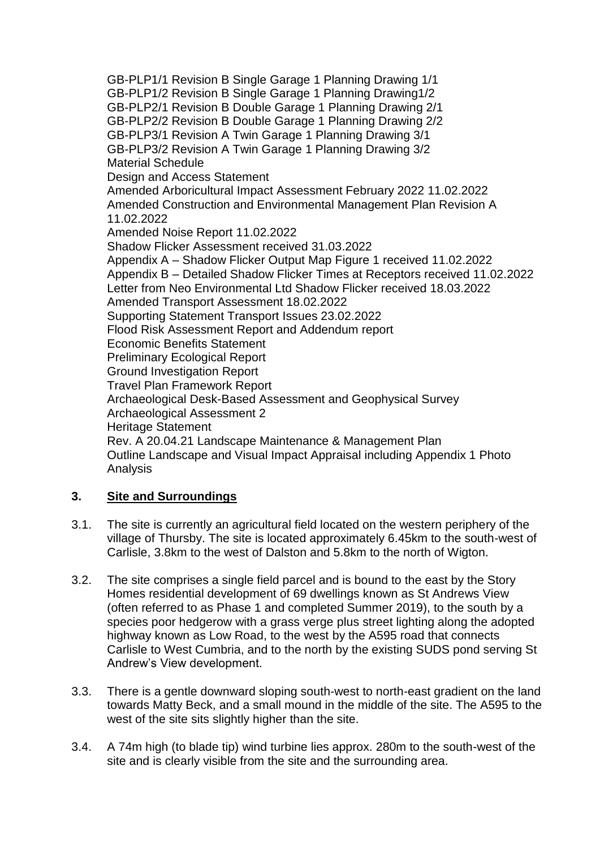GB-PLP1/1 Revision B Single Garage 1 Planning Drawing 1/1 GB-PLP1/2 Revision B Single Garage 1 Planning Drawing1/2 GB-PLP2/1 Revision B Double Garage 1 Planning Drawing 2/1 GB-PLP2/2 Revision B Double Garage 1 Planning Drawing 2/2 GB-PLP3/1 Revision A Twin Garage 1 Planning Drawing 3/1 GB-PLP3/2 Revision A Twin Garage 1 Planning Drawing 3/2 Material Schedule Design and Access Statement Amended Arboricultural Impact Assessment February 2022 11.02.2022 Amended Construction and Environmental Management Plan Revision A 11.02.2022 Amended Noise Report 11.02.2022 Shadow Flicker Assessment received 31.03.2022 Appendix A – Shadow Flicker Output Map Figure 1 received 11.02.2022 Appendix B – Detailed Shadow Flicker Times at Receptors received 11.02.2022 Letter from Neo Environmental Ltd Shadow Flicker received 18.03.2022 Amended Transport Assessment 18.02.2022 Supporting Statement Transport Issues 23.02.2022 Flood Risk Assessment Report and Addendum report Economic Benefits Statement Preliminary Ecological Report Ground Investigation Report Travel Plan Framework Report Archaeological Desk-Based Assessment and Geophysical Survey Archaeological Assessment 2 Heritage Statement Rev. A 20.04.21 Landscape Maintenance & Management Plan Outline Landscape and Visual Impact Appraisal including Appendix 1 Photo Analysis

# **3. Site and Surroundings**

- 3.1. The site is currently an agricultural field located on the western periphery of the village of Thursby. The site is located approximately 6.45km to the south-west of Carlisle, 3.8km to the west of Dalston and 5.8km to the north of Wigton.
- 3.2. The site comprises a single field parcel and is bound to the east by the Story Homes residential development of 69 dwellings known as St Andrews View (often referred to as Phase 1 and completed Summer 2019), to the south by a species poor hedgerow with a grass verge plus street lighting along the adopted highway known as Low Road, to the west by the A595 road that connects Carlisle to West Cumbria, and to the north by the existing SUDS pond serving St Andrew's View development.
- 3.3. There is a gentle downward sloping south-west to north-east gradient on the land towards Matty Beck, and a small mound in the middle of the site. The A595 to the west of the site sits slightly higher than the site.
- 3.4. A 74m high (to blade tip) wind turbine lies approx. 280m to the south-west of the site and is clearly visible from the site and the surrounding area.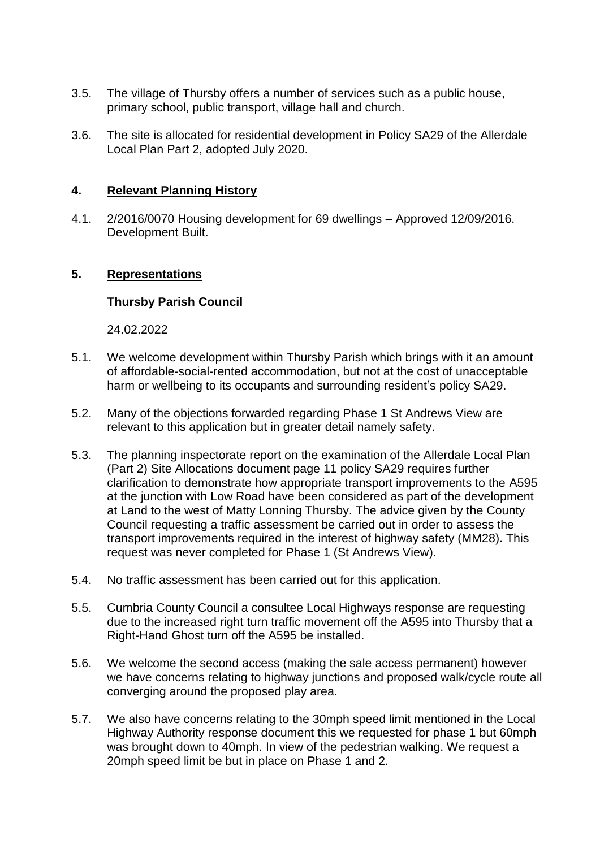- 3.5. The village of Thursby offers a number of services such as a public house, primary school, public transport, village hall and church.
- 3.6. The site is allocated for residential development in Policy SA29 of the Allerdale Local Plan Part 2, adopted July 2020.

### **4. Relevant Planning History**

4.1. 2/2016/0070 Housing development for 69 dwellings – Approved 12/09/2016. Development Built.

### **5. Representations**

### **Thursby Parish Council**

24.02.2022

- 5.1. We welcome development within Thursby Parish which brings with it an amount of affordable-social-rented accommodation, but not at the cost of unacceptable harm or wellbeing to its occupants and surrounding resident's policy SA29.
- 5.2. Many of the objections forwarded regarding Phase 1 St Andrews View are relevant to this application but in greater detail namely safety.
- 5.3. The planning inspectorate report on the examination of the Allerdale Local Plan (Part 2) Site Allocations document page 11 policy SA29 requires further clarification to demonstrate how appropriate transport improvements to the A595 at the junction with Low Road have been considered as part of the development at Land to the west of Matty Lonning Thursby. The advice given by the County Council requesting a traffic assessment be carried out in order to assess the transport improvements required in the interest of highway safety (MM28). This request was never completed for Phase 1 (St Andrews View).
- 5.4. No traffic assessment has been carried out for this application.
- 5.5. Cumbria County Council a consultee Local Highways response are requesting due to the increased right turn traffic movement off the A595 into Thursby that a Right-Hand Ghost turn off the A595 be installed.
- 5.6. We welcome the second access (making the sale access permanent) however we have concerns relating to highway junctions and proposed walk/cycle route all converging around the proposed play area.
- 5.7. We also have concerns relating to the 30mph speed limit mentioned in the Local Highway Authority response document this we requested for phase 1 but 60mph was brought down to 40mph. In view of the pedestrian walking. We request a 20mph speed limit be but in place on Phase 1 and 2.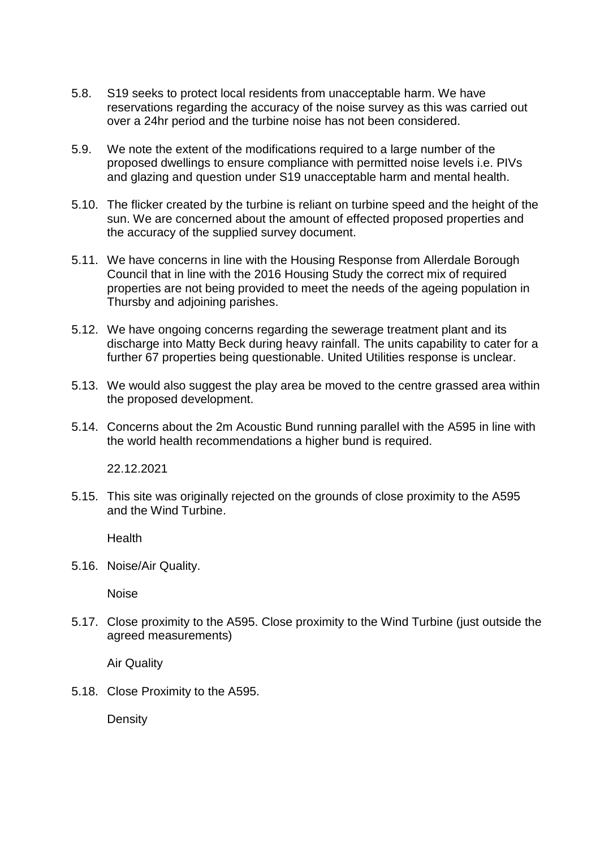- 5.8. S19 seeks to protect local residents from unacceptable harm. We have reservations regarding the accuracy of the noise survey as this was carried out over a 24hr period and the turbine noise has not been considered.
- 5.9. We note the extent of the modifications required to a large number of the proposed dwellings to ensure compliance with permitted noise levels i.e. PIVs and glazing and question under S19 unacceptable harm and mental health.
- 5.10. The flicker created by the turbine is reliant on turbine speed and the height of the sun. We are concerned about the amount of effected proposed properties and the accuracy of the supplied survey document.
- 5.11. We have concerns in line with the Housing Response from Allerdale Borough Council that in line with the 2016 Housing Study the correct mix of required properties are not being provided to meet the needs of the ageing population in Thursby and adjoining parishes.
- 5.12. We have ongoing concerns regarding the sewerage treatment plant and its discharge into Matty Beck during heavy rainfall. The units capability to cater for a further 67 properties being questionable. United Utilities response is unclear.
- 5.13. We would also suggest the play area be moved to the centre grassed area within the proposed development.
- 5.14. Concerns about the 2m Acoustic Bund running parallel with the A595 in line with the world health recommendations a higher bund is required.

22.12.2021

5.15. This site was originally rejected on the grounds of close proximity to the A595 and the Wind Turbine.

Health

5.16. Noise/Air Quality.

Noise

5.17. Close proximity to the A595. Close proximity to the Wind Turbine (just outside the agreed measurements)

Air Quality

5.18. Close Proximity to the A595.

**Density**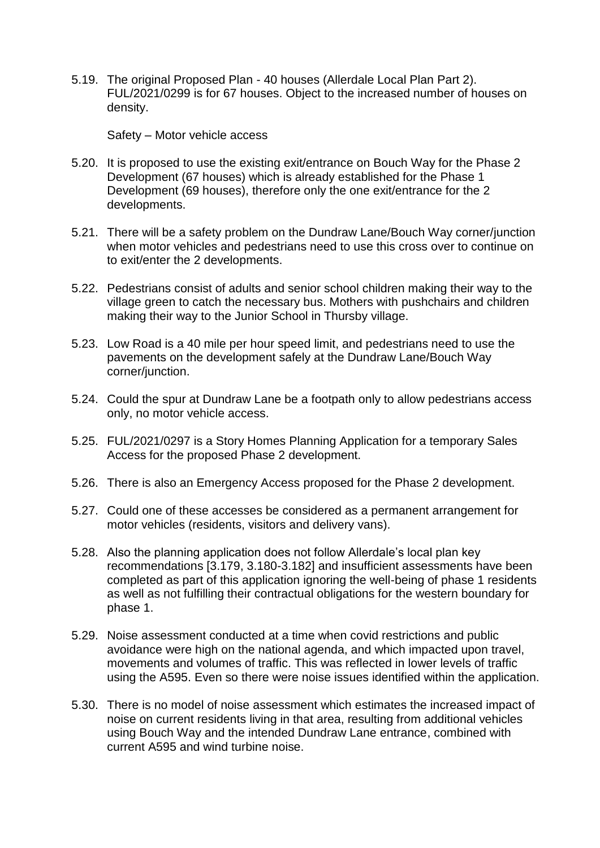5.19. The original Proposed Plan - 40 houses (Allerdale Local Plan Part 2). FUL/2021/0299 is for 67 houses. Object to the increased number of houses on density.

Safety – Motor vehicle access

- 5.20. It is proposed to use the existing exit/entrance on Bouch Way for the Phase 2 Development (67 houses) which is already established for the Phase 1 Development (69 houses), therefore only the one exit/entrance for the 2 developments.
- 5.21. There will be a safety problem on the Dundraw Lane/Bouch Way corner/junction when motor vehicles and pedestrians need to use this cross over to continue on to exit/enter the 2 developments.
- 5.22. Pedestrians consist of adults and senior school children making their way to the village green to catch the necessary bus. Mothers with pushchairs and children making their way to the Junior School in Thursby village.
- 5.23. Low Road is a 40 mile per hour speed limit, and pedestrians need to use the pavements on the development safely at the Dundraw Lane/Bouch Way corner/junction.
- 5.24. Could the spur at Dundraw Lane be a footpath only to allow pedestrians access only, no motor vehicle access.
- 5.25. FUL/2021/0297 is a Story Homes Planning Application for a temporary Sales Access for the proposed Phase 2 development.
- 5.26. There is also an Emergency Access proposed for the Phase 2 development.
- 5.27. Could one of these accesses be considered as a permanent arrangement for motor vehicles (residents, visitors and delivery vans).
- 5.28. Also the planning application does not follow Allerdale's local plan key recommendations [3.179, 3.180-3.182] and insufficient assessments have been completed as part of this application ignoring the well-being of phase 1 residents as well as not fulfilling their contractual obligations for the western boundary for phase 1.
- 5.29. Noise assessment conducted at a time when covid restrictions and public avoidance were high on the national agenda, and which impacted upon travel, movements and volumes of traffic. This was reflected in lower levels of traffic using the A595. Even so there were noise issues identified within the application.
- 5.30. There is no model of noise assessment which estimates the increased impact of noise on current residents living in that area, resulting from additional vehicles using Bouch Way and the intended Dundraw Lane entrance, combined with current A595 and wind turbine noise.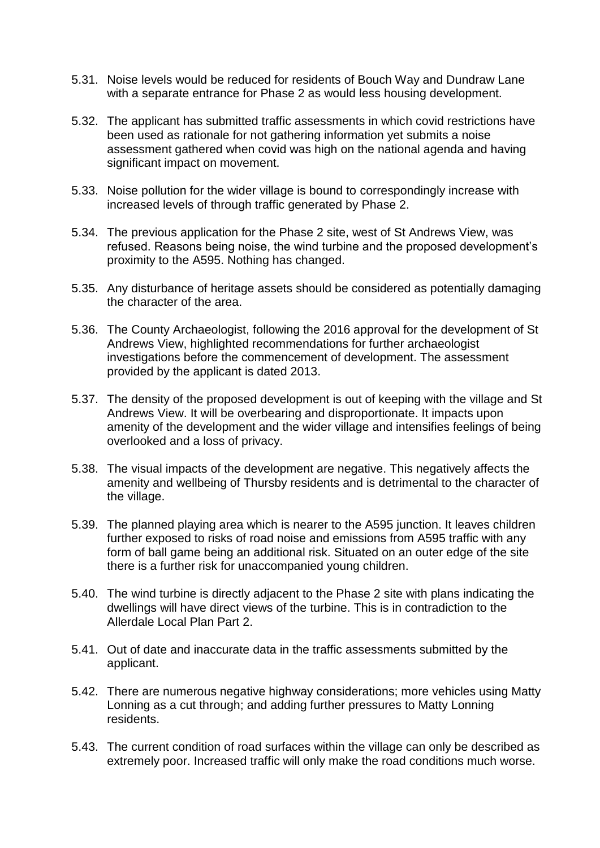- 5.31. Noise levels would be reduced for residents of Bouch Way and Dundraw Lane with a separate entrance for Phase 2 as would less housing development.
- 5.32. The applicant has submitted traffic assessments in which covid restrictions have been used as rationale for not gathering information yet submits a noise assessment gathered when covid was high on the national agenda and having significant impact on movement.
- 5.33. Noise pollution for the wider village is bound to correspondingly increase with increased levels of through traffic generated by Phase 2.
- 5.34. The previous application for the Phase 2 site, west of St Andrews View, was refused. Reasons being noise, the wind turbine and the proposed development's proximity to the A595. Nothing has changed.
- 5.35. Any disturbance of heritage assets should be considered as potentially damaging the character of the area.
- 5.36. The County Archaeologist, following the 2016 approval for the development of St Andrews View, highlighted recommendations for further archaeologist investigations before the commencement of development. The assessment provided by the applicant is dated 2013.
- 5.37. The density of the proposed development is out of keeping with the village and St Andrews View. It will be overbearing and disproportionate. It impacts upon amenity of the development and the wider village and intensifies feelings of being overlooked and a loss of privacy.
- 5.38. The visual impacts of the development are negative. This negatively affects the amenity and wellbeing of Thursby residents and is detrimental to the character of the village.
- 5.39. The planned playing area which is nearer to the A595 junction. It leaves children further exposed to risks of road noise and emissions from A595 traffic with any form of ball game being an additional risk. Situated on an outer edge of the site there is a further risk for unaccompanied young children.
- 5.40. The wind turbine is directly adjacent to the Phase 2 site with plans indicating the dwellings will have direct views of the turbine. This is in contradiction to the Allerdale Local Plan Part 2.
- 5.41. Out of date and inaccurate data in the traffic assessments submitted by the applicant.
- 5.42. There are numerous negative highway considerations; more vehicles using Matty Lonning as a cut through; and adding further pressures to Matty Lonning residents.
- 5.43. The current condition of road surfaces within the village can only be described as extremely poor. Increased traffic will only make the road conditions much worse.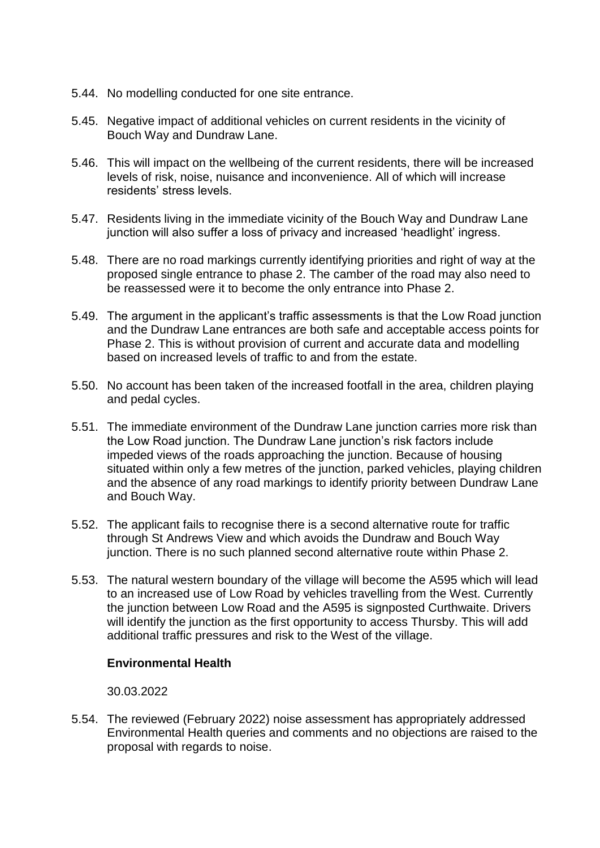- 5.44. No modelling conducted for one site entrance.
- 5.45. Negative impact of additional vehicles on current residents in the vicinity of Bouch Way and Dundraw Lane.
- 5.46. This will impact on the wellbeing of the current residents, there will be increased levels of risk, noise, nuisance and inconvenience. All of which will increase residents' stress levels.
- 5.47. Residents living in the immediate vicinity of the Bouch Way and Dundraw Lane junction will also suffer a loss of privacy and increased 'headlight' ingress.
- 5.48. There are no road markings currently identifying priorities and right of way at the proposed single entrance to phase 2. The camber of the road may also need to be reassessed were it to become the only entrance into Phase 2.
- 5.49. The argument in the applicant's traffic assessments is that the Low Road junction and the Dundraw Lane entrances are both safe and acceptable access points for Phase 2. This is without provision of current and accurate data and modelling based on increased levels of traffic to and from the estate.
- 5.50. No account has been taken of the increased footfall in the area, children playing and pedal cycles.
- 5.51. The immediate environment of the Dundraw Lane junction carries more risk than the Low Road junction. The Dundraw Lane junction's risk factors include impeded views of the roads approaching the junction. Because of housing situated within only a few metres of the junction, parked vehicles, playing children and the absence of any road markings to identify priority between Dundraw Lane and Bouch Way.
- 5.52. The applicant fails to recognise there is a second alternative route for traffic through St Andrews View and which avoids the Dundraw and Bouch Way junction. There is no such planned second alternative route within Phase 2.
- 5.53. The natural western boundary of the village will become the A595 which will lead to an increased use of Low Road by vehicles travelling from the West. Currently the junction between Low Road and the A595 is signposted Curthwaite. Drivers will identify the junction as the first opportunity to access Thursby. This will add additional traffic pressures and risk to the West of the village.

### **Environmental Health**

### 30.03.2022

5.54. The reviewed (February 2022) noise assessment has appropriately addressed Environmental Health queries and comments and no objections are raised to the proposal with regards to noise.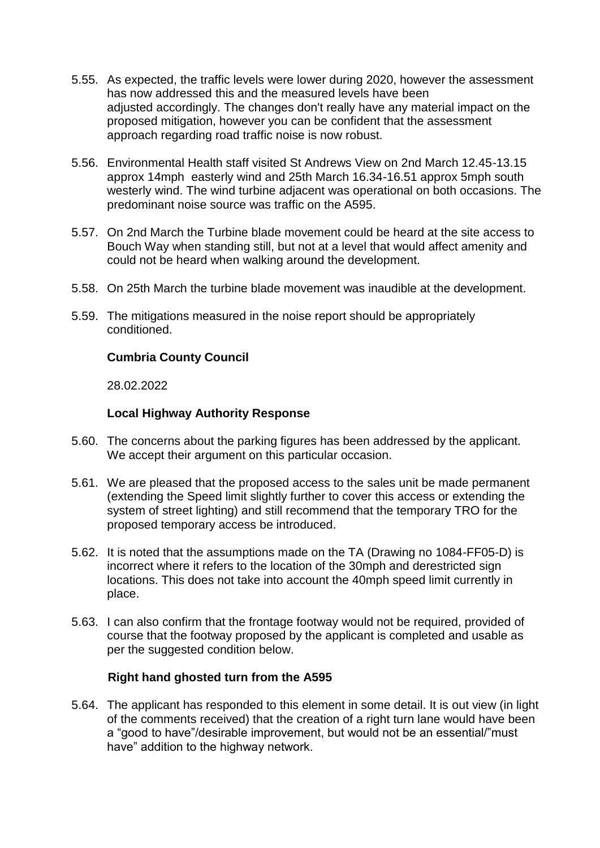- 5.55. As expected, the traffic levels were lower during 2020, however the assessment has now addressed this and the measured levels have been adjusted accordingly. The changes don't really have any material impact on the proposed mitigation, however you can be confident that the assessment approach regarding road traffic noise is now robust.
- 5.56. Environmental Health staff visited St Andrews View on 2nd March 12.45-13.15 approx 14mph easterly wind and 25th March 16.34-16.51 approx 5mph south westerly wind. The wind turbine adjacent was operational on both occasions. The predominant noise source was traffic on the A595.
- 5.57. On 2nd March the Turbine blade movement could be heard at the site access to Bouch Way when standing still, but not at a level that would affect amenity and could not be heard when walking around the development.
- 5.58. On 25th March the turbine blade movement was inaudible at the development.
- 5.59. The mitigations measured in the noise report should be appropriately conditioned.

## **Cumbria County Council**

28.02.2022

### **Local Highway Authority Response**

- 5.60. The concerns about the parking figures has been addressed by the applicant. We accept their argument on this particular occasion.
- 5.61. We are pleased that the proposed access to the sales unit be made permanent (extending the Speed limit slightly further to cover this access or extending the system of street lighting) and still recommend that the temporary TRO for the proposed temporary access be introduced.
- 5.62. It is noted that the assumptions made on the TA (Drawing no 1084-FF05-D) is incorrect where it refers to the location of the 30mph and derestricted sign locations. This does not take into account the 40mph speed limit currently in place.
- 5.63. I can also confirm that the frontage footway would not be required, provided of course that the footway proposed by the applicant is completed and usable as per the suggested condition below.

### **Right hand ghosted turn from the A595**

5.64. The applicant has responded to this element in some detail. It is out view (in light of the comments received) that the creation of a right turn lane would have been a "good to have"/desirable improvement, but would not be an essential/"must have" addition to the highway network.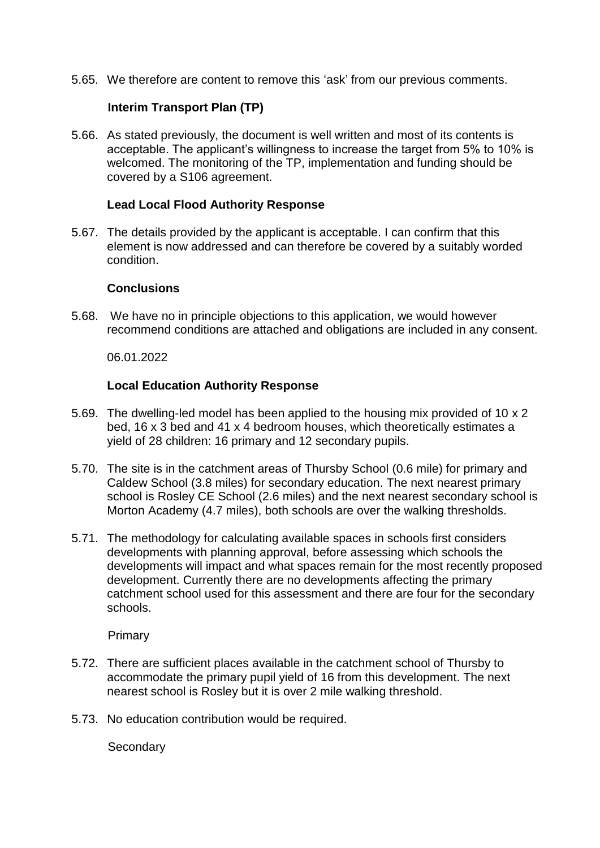5.65. We therefore are content to remove this 'ask' from our previous comments.

### **Interim Transport Plan (TP)**

5.66. As stated previously, the document is well written and most of its contents is acceptable. The applicant's willingness to increase the target from 5% to 10% is welcomed. The monitoring of the TP, implementation and funding should be covered by a S106 agreement.

### **Lead Local Flood Authority Response**

5.67. The details provided by the applicant is acceptable. I can confirm that this element is now addressed and can therefore be covered by a suitably worded condition.

### **Conclusions**

5.68. We have no in principle objections to this application, we would however recommend conditions are attached and obligations are included in any consent.

06.01.2022

### **Local Education Authority Response**

- 5.69. The dwelling-led model has been applied to the housing mix provided of 10 x 2 bed, 16 x 3 bed and 41 x 4 bedroom houses, which theoretically estimates a yield of 28 children: 16 primary and 12 secondary pupils.
- 5.70. The site is in the catchment areas of Thursby School (0.6 mile) for primary and Caldew School (3.8 miles) for secondary education. The next nearest primary school is Rosley CE School (2.6 miles) and the next nearest secondary school is Morton Academy (4.7 miles), both schools are over the walking thresholds.
- 5.71. The methodology for calculating available spaces in schools first considers developments with planning approval, before assessing which schools the developments will impact and what spaces remain for the most recently proposed development. Currently there are no developments affecting the primary catchment school used for this assessment and there are four for the secondary schools.

Primary

- 5.72. There are sufficient places available in the catchment school of Thursby to accommodate the primary pupil yield of 16 from this development. The next nearest school is Rosley but it is over 2 mile walking threshold.
- 5.73. No education contribution would be required.

**Secondary**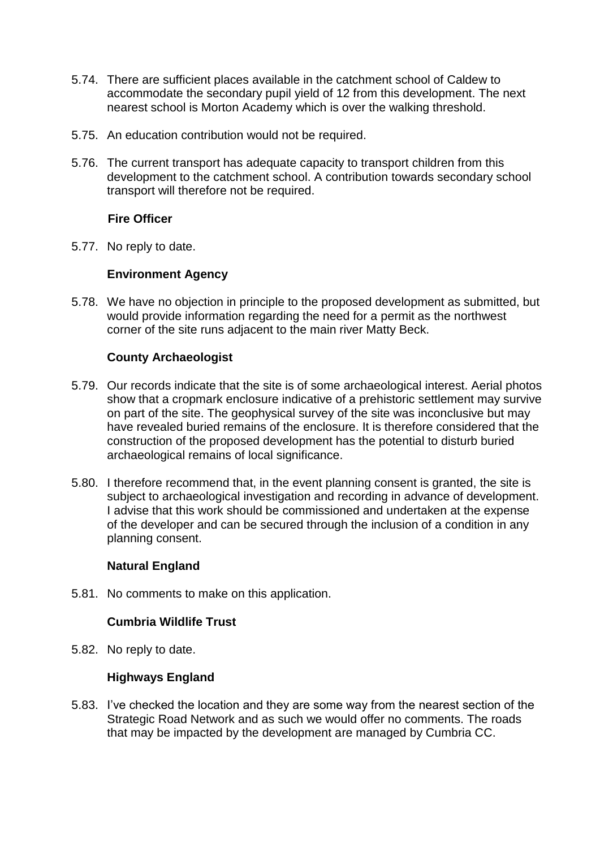- 5.74. There are sufficient places available in the catchment school of Caldew to accommodate the secondary pupil yield of 12 from this development. The next nearest school is Morton Academy which is over the walking threshold.
- 5.75. An education contribution would not be required.
- 5.76. The current transport has adequate capacity to transport children from this development to the catchment school. A contribution towards secondary school transport will therefore not be required.

## **Fire Officer**

5.77. No reply to date.

## **Environment Agency**

5.78. We have no objection in principle to the proposed development as submitted, but would provide information regarding the need for a permit as the northwest corner of the site runs adjacent to the main river Matty Beck.

### **County Archaeologist**

- 5.79. Our records indicate that the site is of some archaeological interest. Aerial photos show that a cropmark enclosure indicative of a prehistoric settlement may survive on part of the site. The geophysical survey of the site was inconclusive but may have revealed buried remains of the enclosure. It is therefore considered that the construction of the proposed development has the potential to disturb buried archaeological remains of local significance.
- 5.80. I therefore recommend that, in the event planning consent is granted, the site is subject to archaeological investigation and recording in advance of development. I advise that this work should be commissioned and undertaken at the expense of the developer and can be secured through the inclusion of a condition in any planning consent.

### **Natural England**

5.81. No comments to make on this application.

### **Cumbria Wildlife Trust**

5.82. No reply to date.

### **Highways England**

5.83. I've checked the location and they are some way from the nearest section of the Strategic Road Network and as such we would offer no comments. The roads that may be impacted by the development are managed by Cumbria CC.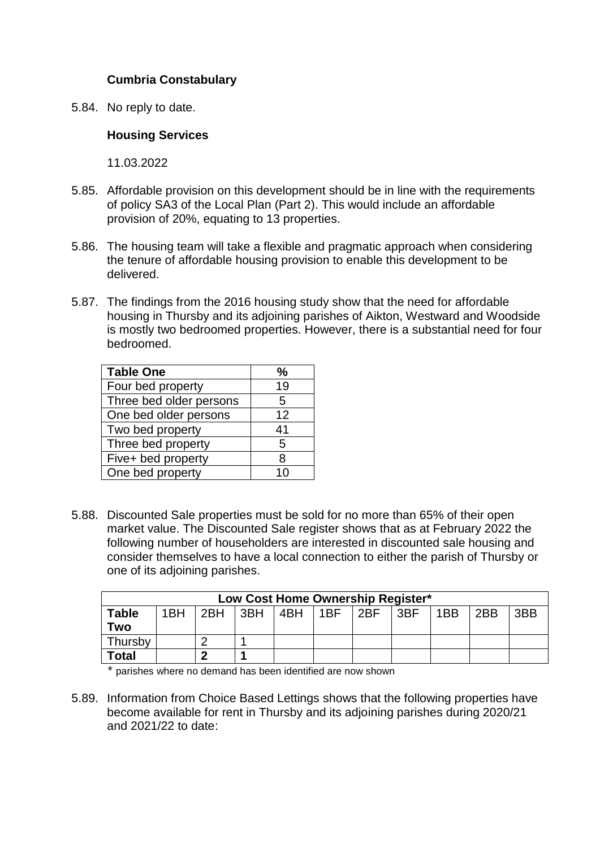# **Cumbria Constabulary**

5.84. No reply to date.

### **Housing Services**

11.03.2022

- 5.85. Affordable provision on this development should be in line with the requirements of policy SA3 of the Local Plan (Part 2). This would include an affordable provision of 20%, equating to 13 properties.
- 5.86. The housing team will take a flexible and pragmatic approach when considering the tenure of affordable housing provision to enable this development to be delivered.
- 5.87. The findings from the 2016 housing study show that the need for affordable housing in Thursby and its adjoining parishes of Aikton, Westward and Woodside is mostly two bedroomed properties. However, there is a substantial need for four bedroomed.

| <b>Table One</b>        | ℅  |
|-------------------------|----|
| Four bed property       | 19 |
| Three bed older persons | 5  |
| One bed older persons   | 12 |
| Two bed property        | 41 |
| Three bed property      | 5  |
| Five+ bed property      | R  |
| One bed property        | 10 |

5.88. Discounted Sale properties must be sold for no more than 65% of their open market value. The Discounted Sale register shows that as at February 2022 the following number of householders are interested in discounted sale housing and consider themselves to have a local connection to either the parish of Thursby or one of its adjoining parishes.

| Low Cost Home Ownership Register* |     |     |             |  |     |     |                              |     |     |     |
|-----------------------------------|-----|-----|-------------|--|-----|-----|------------------------------|-----|-----|-----|
| <b>Table</b>                      | 1BH | 2BH | $ 3BH $ 4BH |  | 1BF | 2BF | $\overline{\phantom{a}}$ 3BF | 1BB | 2BB | 3BB |
| Two                               |     |     |             |  |     |     |                              |     |     |     |
| Thursby                           |     |     |             |  |     |     |                              |     |     |     |
| <b>Total</b>                      |     |     |             |  |     |     |                              |     |     |     |

\* parishes where no demand has been identified are now shown

5.89. Information from Choice Based Lettings shows that the following properties have become available for rent in Thursby and its adjoining parishes during 2020/21 and 2021/22 to date: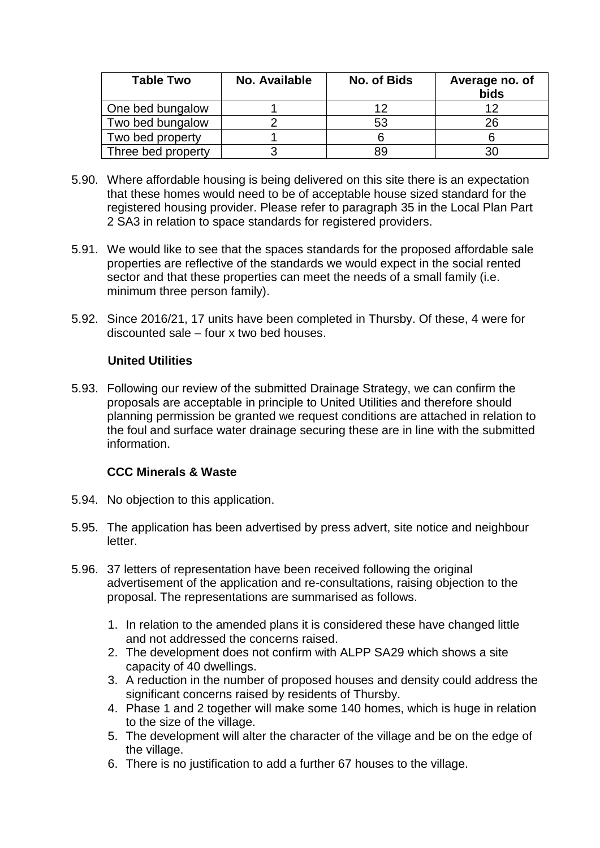| <b>Table Two</b>   | No. Available | No. of Bids | Average no. of<br>bids |
|--------------------|---------------|-------------|------------------------|
| One bed bungalow   |               |             |                        |
| Two bed bungalow   |               | 53          | 26                     |
| Two bed property   |               |             |                        |
| Three bed property |               | 89          |                        |

- 5.90. Where affordable housing is being delivered on this site there is an expectation that these homes would need to be of acceptable house sized standard for the registered housing provider. Please refer to paragraph 35 in the Local Plan Part 2 SA3 in relation to space standards for registered providers.
- 5.91. We would like to see that the spaces standards for the proposed affordable sale properties are reflective of the standards we would expect in the social rented sector and that these properties can meet the needs of a small family (i.e. minimum three person family).
- 5.92. Since 2016/21, 17 units have been completed in Thursby. Of these, 4 were for discounted sale – four x two bed houses.

## **United Utilities**

5.93. Following our review of the submitted Drainage Strategy, we can confirm the proposals are acceptable in principle to United Utilities and therefore should planning permission be granted we request conditions are attached in relation to the foul and surface water drainage securing these are in line with the submitted information.

# **CCC Minerals & Waste**

- 5.94. No objection to this application.
- 5.95. The application has been advertised by press advert, site notice and neighbour letter.
- 5.96. 37 letters of representation have been received following the original advertisement of the application and re-consultations, raising objection to the proposal. The representations are summarised as follows.
	- 1. In relation to the amended plans it is considered these have changed little and not addressed the concerns raised.
	- 2. The development does not confirm with ALPP SA29 which shows a site capacity of 40 dwellings.
	- 3. A reduction in the number of proposed houses and density could address the significant concerns raised by residents of Thursby.
	- 4. Phase 1 and 2 together will make some 140 homes, which is huge in relation to the size of the village.
	- 5. The development will alter the character of the village and be on the edge of the village.
	- 6. There is no justification to add a further 67 houses to the village.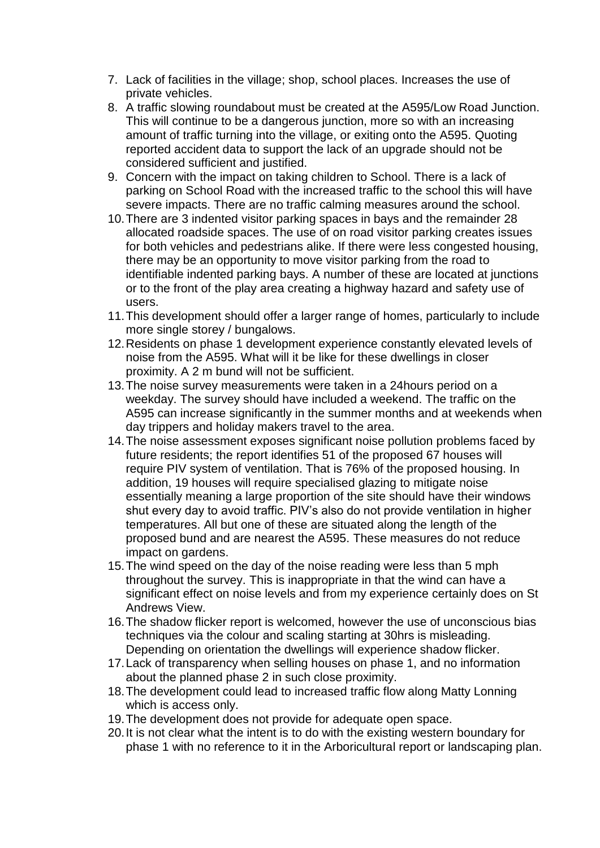- 7. Lack of facilities in the village; shop, school places. Increases the use of private vehicles.
- 8. A traffic slowing roundabout must be created at the A595/Low Road Junction. This will continue to be a dangerous junction, more so with an increasing amount of traffic turning into the village, or exiting onto the A595. Quoting reported accident data to support the lack of an upgrade should not be considered sufficient and justified.
- 9. Concern with the impact on taking children to School. There is a lack of parking on School Road with the increased traffic to the school this will have severe impacts. There are no traffic calming measures around the school.
- 10.There are 3 indented visitor parking spaces in bays and the remainder 28 allocated roadside spaces. The use of on road visitor parking creates issues for both vehicles and pedestrians alike. If there were less congested housing, there may be an opportunity to move visitor parking from the road to identifiable indented parking bays. A number of these are located at junctions or to the front of the play area creating a highway hazard and safety use of users.
- 11.This development should offer a larger range of homes, particularly to include more single storey / bungalows.
- 12.Residents on phase 1 development experience constantly elevated levels of noise from the A595. What will it be like for these dwellings in closer proximity. A 2 m bund will not be sufficient.
- 13.The noise survey measurements were taken in a 24hours period on a weekday. The survey should have included a weekend. The traffic on the A595 can increase significantly in the summer months and at weekends when day trippers and holiday makers travel to the area.
- 14.The noise assessment exposes significant noise pollution problems faced by future residents; the report identifies 51 of the proposed 67 houses will require PIV system of ventilation. That is 76% of the proposed housing. In addition, 19 houses will require specialised glazing to mitigate noise essentially meaning a large proportion of the site should have their windows shut every day to avoid traffic. PIV's also do not provide ventilation in higher temperatures. All but one of these are situated along the length of the proposed bund and are nearest the A595. These measures do not reduce impact on gardens.
- 15.The wind speed on the day of the noise reading were less than 5 mph throughout the survey. This is inappropriate in that the wind can have a significant effect on noise levels and from my experience certainly does on St Andrews View.
- 16.The shadow flicker report is welcomed, however the use of unconscious bias techniques via the colour and scaling starting at 30hrs is misleading. Depending on orientation the dwellings will experience shadow flicker.
- 17.Lack of transparency when selling houses on phase 1, and no information about the planned phase 2 in such close proximity.
- 18.The development could lead to increased traffic flow along Matty Lonning which is access only.
- 19.The development does not provide for adequate open space.
- 20.It is not clear what the intent is to do with the existing western boundary for phase 1 with no reference to it in the Arboricultural report or landscaping plan.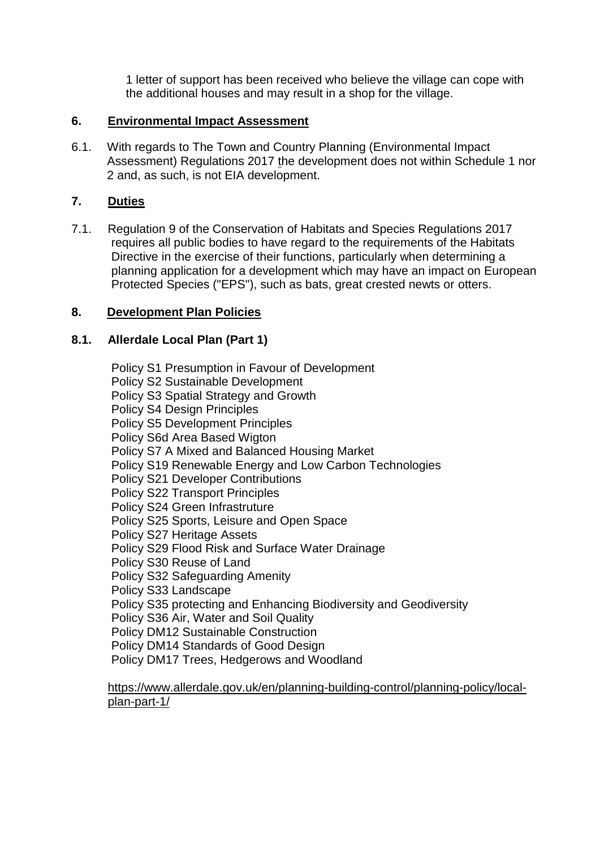1 letter of support has been received who believe the village can cope with the additional houses and may result in a shop for the village.

## **6. Environmental Impact Assessment**

6.1. With regards to The Town and Country Planning (Environmental Impact Assessment) Regulations 2017 the development does not within Schedule 1 nor 2 and, as such, is not EIA development.

# **7. Duties**

7.1. Regulation 9 of the Conservation of Habitats and Species Regulations 2017 requires all public bodies to have regard to the requirements of the Habitats Directive in the exercise of their functions, particularly when determining a planning application for a development which may have an impact on European Protected Species ("EPS"), such as bats, great crested newts or otters.

# **8. Development Plan Policies**

# **8.1. Allerdale Local Plan (Part 1)**

Policy S1 Presumption in Favour of Development Policy S2 Sustainable Development Policy S3 Spatial Strategy and Growth Policy S4 Design Principles Policy S5 Development Principles Policy S6d Area Based Wigton Policy S7 A Mixed and Balanced Housing Market Policy S19 Renewable Energy and Low Carbon Technologies Policy S21 Developer Contributions Policy S22 Transport Principles Policy S24 Green Infrastruture Policy S25 Sports, Leisure and Open Space Policy S27 Heritage Assets Policy S29 Flood Risk and Surface Water Drainage Policy S30 Reuse of Land Policy S32 Safeguarding Amenity Policy S33 Landscape Policy S35 protecting and Enhancing Biodiversity and Geodiversity Policy S36 Air, Water and Soil Quality Policy DM12 Sustainable Construction Policy DM14 Standards of Good Design Policy DM17 Trees, Hedgerows and Woodland

[https://www.allerdale.gov.uk/en/planning-building-control/planning-policy/local](https://www.allerdale.gov.uk/en/planning-building-control/planning-policy/local-plan-part-1/)[plan-part-1/](https://www.allerdale.gov.uk/en/planning-building-control/planning-policy/local-plan-part-1/)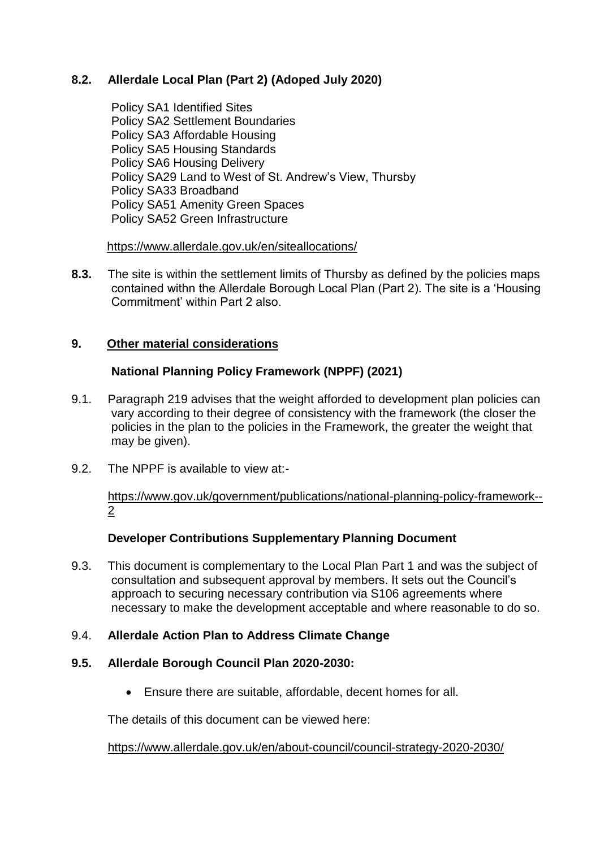# **8.2. Allerdale Local Plan (Part 2) (Adoped July 2020)**

Policy SA1 Identified Sites Policy SA2 Settlement Boundaries Policy SA3 Affordable Housing Policy SA5 Housing Standards Policy SA6 Housing Delivery Policy SA29 Land to West of St. Andrew's View, Thursby Policy SA33 Broadband Policy SA51 Amenity Green Spaces Policy SA52 Green Infrastructure

<https://www.allerdale.gov.uk/en/siteallocations/>

**8.3.** The site is within the settlement limits of Thursby as defined by the policies maps contained withn the Allerdale Borough Local Plan (Part 2). The site is a 'Housing Commitment' within Part 2 also.

## **9. Other material considerations**

## **National Planning Policy Framework (NPPF) (2021)**

- 9.1. Paragraph 219 advises that the weight afforded to development plan policies can vary according to their degree of consistency with the framework (the closer the policies in the plan to the policies in the Framework, the greater the weight that may be given).
- 9.2. The NPPF is available to view at:-

[https://www.gov.uk/government/publications/national-planning-policy-framework--](https://www.gov.uk/government/publications/national-planning-policy-framework--2) [2](https://www.gov.uk/government/publications/national-planning-policy-framework--2)

# **Developer Contributions Supplementary Planning Document**

9.3. This document is complementary to the Local Plan Part 1 and was the subject of consultation and subsequent approval by members. It sets out the Council's approach to securing necessary contribution via S106 agreements where necessary to make the development acceptable and where reasonable to do so.

### 9.4. **Allerdale Action Plan to Address Climate Change**

### **9.5. Allerdale Borough Council Plan 2020-2030:**

Ensure there are suitable, affordable, decent homes for all.

The details of this document can be viewed here:

<https://www.allerdale.gov.uk/en/about-council/council-strategy-2020-2030/>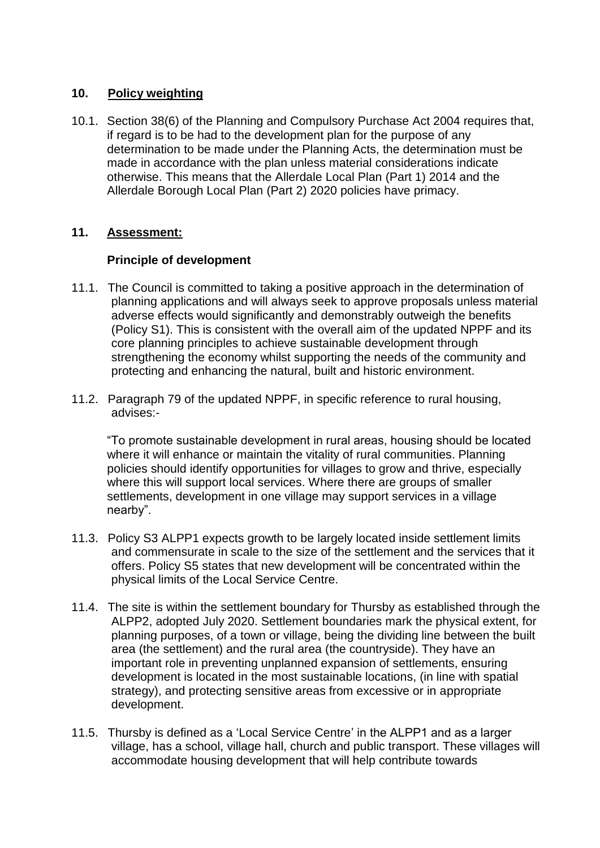## **10. Policy weighting**

10.1. Section 38(6) of the Planning and Compulsory Purchase Act 2004 requires that, if regard is to be had to the development plan for the purpose of any determination to be made under the Planning Acts, the determination must be made in accordance with the plan unless material considerations indicate otherwise. This means that the Allerdale Local Plan (Part 1) 2014 and the Allerdale Borough Local Plan (Part 2) 2020 policies have primacy.

## **11. Assessment:**

## **Principle of development**

- 11.1. The Council is committed to taking a positive approach in the determination of planning applications and will always seek to approve proposals unless material adverse effects would significantly and demonstrably outweigh the benefits (Policy S1). This is consistent with the overall aim of the updated NPPF and its core planning principles to achieve sustainable development through strengthening the economy whilst supporting the needs of the community and protecting and enhancing the natural, built and historic environment.
- 11.2. Paragraph 79 of the updated NPPF, in specific reference to rural housing, advises:-

"To promote sustainable development in rural areas, housing should be located where it will enhance or maintain the vitality of rural communities. Planning policies should identify opportunities for villages to grow and thrive, especially where this will support local services. Where there are groups of smaller settlements, development in one village may support services in a village nearby".

- 11.3. Policy S3 ALPP1 expects growth to be largely located inside settlement limits and commensurate in scale to the size of the settlement and the services that it offers. Policy S5 states that new development will be concentrated within the physical limits of the Local Service Centre.
- 11.4. The site is within the settlement boundary for Thursby as established through the ALPP2, adopted July 2020. Settlement boundaries mark the physical extent, for planning purposes, of a town or village, being the dividing line between the built area (the settlement) and the rural area (the countryside). They have an important role in preventing unplanned expansion of settlements, ensuring development is located in the most sustainable locations, (in line with spatial strategy), and protecting sensitive areas from excessive or in appropriate development.
- 11.5. Thursby is defined as a 'Local Service Centre' in the ALPP1 and as a larger village, has a school, village hall, church and public transport. These villages will accommodate housing development that will help contribute towards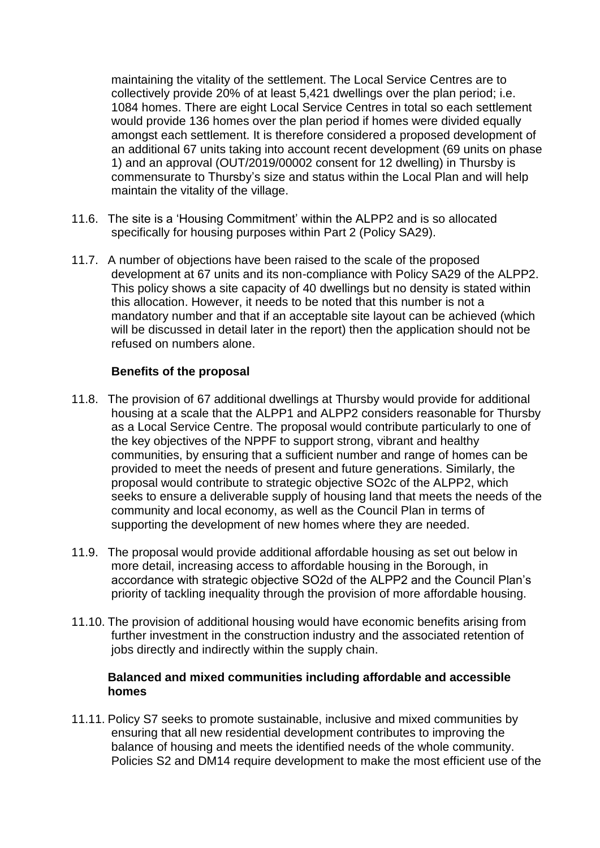maintaining the vitality of the settlement. The Local Service Centres are to collectively provide 20% of at least 5,421 dwellings over the plan period; i.e. 1084 homes. There are eight Local Service Centres in total so each settlement would provide 136 homes over the plan period if homes were divided equally amongst each settlement. It is therefore considered a proposed development of an additional 67 units taking into account recent development (69 units on phase 1) and an approval (OUT/2019/00002 consent for 12 dwelling) in Thursby is commensurate to Thursby's size and status within the Local Plan and will help maintain the vitality of the village.

- 11.6. The site is a 'Housing Commitment' within the ALPP2 and is so allocated specifically for housing purposes within Part 2 (Policy SA29).
- 11.7. A number of objections have been raised to the scale of the proposed development at 67 units and its non-compliance with Policy SA29 of the ALPP2. This policy shows a site capacity of 40 dwellings but no density is stated within this allocation. However, it needs to be noted that this number is not a mandatory number and that if an acceptable site layout can be achieved (which will be discussed in detail later in the report) then the application should not be refused on numbers alone.

### **Benefits of the proposal**

- 11.8. The provision of 67 additional dwellings at Thursby would provide for additional housing at a scale that the ALPP1 and ALPP2 considers reasonable for Thursby as a Local Service Centre. The proposal would contribute particularly to one of the key objectives of the NPPF to support strong, vibrant and healthy communities, by ensuring that a sufficient number and range of homes can be provided to meet the needs of present and future generations. Similarly, the proposal would contribute to strategic objective SO2c of the ALPP2, which seeks to ensure a deliverable supply of housing land that meets the needs of the community and local economy, as well as the Council Plan in terms of supporting the development of new homes where they are needed.
- 11.9. The proposal would provide additional affordable housing as set out below in more detail, increasing access to affordable housing in the Borough, in accordance with strategic objective SO2d of the ALPP2 and the Council Plan's priority of tackling inequality through the provision of more affordable housing.
- 11.10. The provision of additional housing would have economic benefits arising from further investment in the construction industry and the associated retention of jobs directly and indirectly within the supply chain.

### **Balanced and mixed communities including affordable and accessible homes**

11.11. Policy S7 seeks to promote sustainable, inclusive and mixed communities by ensuring that all new residential development contributes to improving the balance of housing and meets the identified needs of the whole community. Policies S2 and DM14 require development to make the most efficient use of the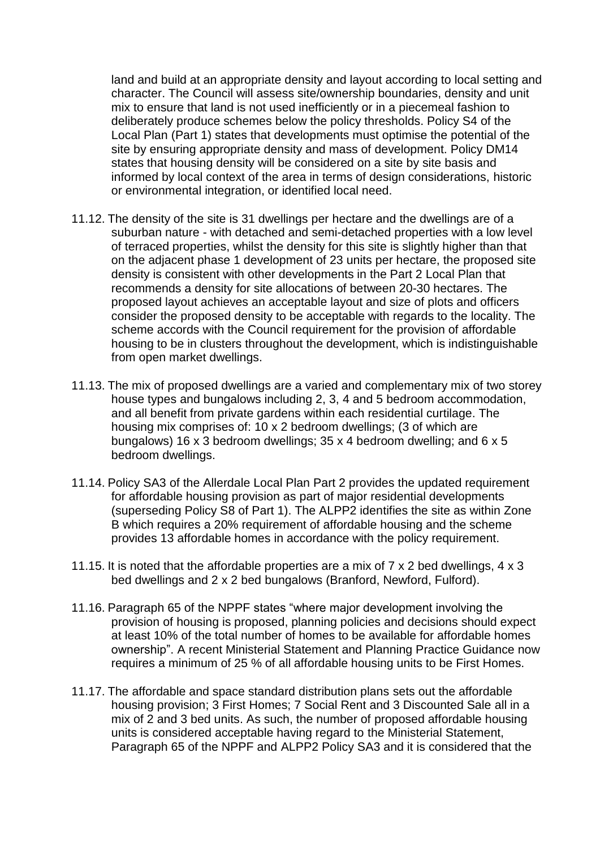land and build at an appropriate density and layout according to local setting and character. The Council will assess site/ownership boundaries, density and unit mix to ensure that land is not used inefficiently or in a piecemeal fashion to deliberately produce schemes below the policy thresholds. Policy S4 of the Local Plan (Part 1) states that developments must optimise the potential of the site by ensuring appropriate density and mass of development. Policy DM14 states that housing density will be considered on a site by site basis and informed by local context of the area in terms of design considerations, historic or environmental integration, or identified local need.

- 11.12. The density of the site is 31 dwellings per hectare and the dwellings are of a suburban nature - with detached and semi-detached properties with a low level of terraced properties, whilst the density for this site is slightly higher than that on the adjacent phase 1 development of 23 units per hectare, the proposed site density is consistent with other developments in the Part 2 Local Plan that recommends a density for site allocations of between 20-30 hectares. The proposed layout achieves an acceptable layout and size of plots and officers consider the proposed density to be acceptable with regards to the locality. The scheme accords with the Council requirement for the provision of affordable housing to be in clusters throughout the development, which is indistinguishable from open market dwellings.
- 11.13. The mix of proposed dwellings are a varied and complementary mix of two storey house types and bungalows including 2, 3, 4 and 5 bedroom accommodation, and all benefit from private gardens within each residential curtilage. The housing mix comprises of: 10 x 2 bedroom dwellings; (3 of which are bungalows) 16 x 3 bedroom dwellings; 35 x 4 bedroom dwelling; and 6 x 5 bedroom dwellings.
- 11.14. Policy SA3 of the Allerdale Local Plan Part 2 provides the updated requirement for affordable housing provision as part of major residential developments (superseding Policy S8 of Part 1). The ALPP2 identifies the site as within Zone B which requires a 20% requirement of affordable housing and the scheme provides 13 affordable homes in accordance with the policy requirement.
- 11.15. It is noted that the affordable properties are a mix of 7 x 2 bed dwellings, 4 x 3 bed dwellings and 2 x 2 bed bungalows (Branford, Newford, Fulford).
- 11.16. Paragraph 65 of the NPPF states "where major development involving the provision of housing is proposed, planning policies and decisions should expect at least 10% of the total number of homes to be available for affordable homes ownership". A recent Ministerial Statement and Planning Practice Guidance now requires a minimum of 25 % of all affordable housing units to be First Homes.
- 11.17. The affordable and space standard distribution plans sets out the affordable housing provision; 3 First Homes; 7 Social Rent and 3 Discounted Sale all in a mix of 2 and 3 bed units. As such, the number of proposed affordable housing units is considered acceptable having regard to the Ministerial Statement, Paragraph 65 of the NPPF and ALPP2 Policy SA3 and it is considered that the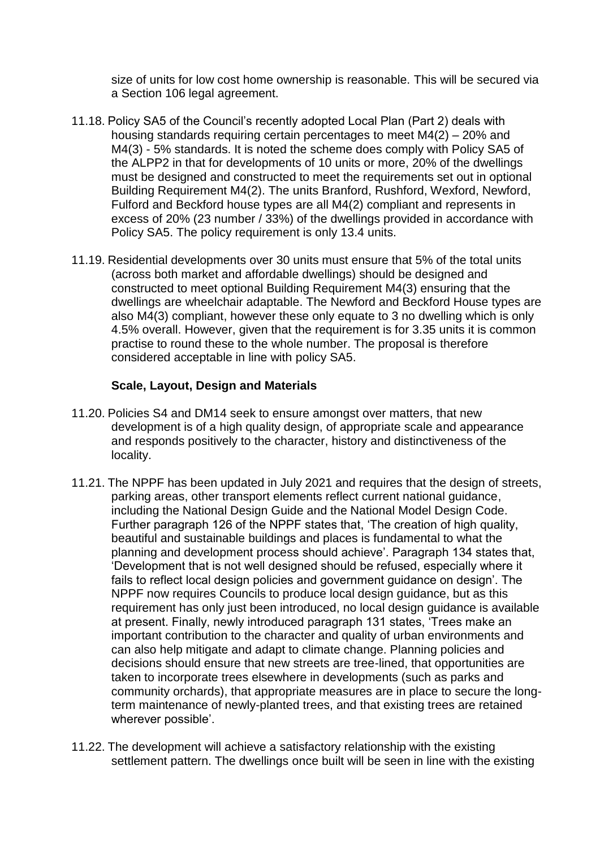size of units for low cost home ownership is reasonable. This will be secured via a Section 106 legal agreement.

- 11.18. Policy SA5 of the Council's recently adopted Local Plan (Part 2) deals with housing standards requiring certain percentages to meet M4(2) – 20% and M4(3) - 5% standards. It is noted the scheme does comply with Policy SA5 of the ALPP2 in that for developments of 10 units or more, 20% of the dwellings must be designed and constructed to meet the requirements set out in optional Building Requirement M4(2). The units Branford, Rushford, Wexford, Newford, Fulford and Beckford house types are all M4(2) compliant and represents in excess of 20% (23 number / 33%) of the dwellings provided in accordance with Policy SA5. The policy requirement is only 13.4 units.
- 11.19. Residential developments over 30 units must ensure that 5% of the total units (across both market and affordable dwellings) should be designed and constructed to meet optional Building Requirement M4(3) ensuring that the dwellings are wheelchair adaptable. The Newford and Beckford House types are also M4(3) compliant, however these only equate to 3 no dwelling which is only 4.5% overall. However, given that the requirement is for 3.35 units it is common practise to round these to the whole number. The proposal is therefore considered acceptable in line with policy SA5.

### **Scale, Layout, Design and Materials**

- 11.20. Policies S4 and DM14 seek to ensure amongst over matters, that new development is of a high quality design, of appropriate scale and appearance and responds positively to the character, history and distinctiveness of the locality.
- 11.21. The NPPF has been updated in July 2021 and requires that the design of streets, parking areas, other transport elements reflect current national guidance, including the National Design Guide and the National Model Design Code. Further paragraph 126 of the NPPF states that, 'The creation of high quality, beautiful and sustainable buildings and places is fundamental to what the planning and development process should achieve'. Paragraph 134 states that, 'Development that is not well designed should be refused, especially where it fails to reflect local design policies and government guidance on design'. The NPPF now requires Councils to produce local design guidance, but as this requirement has only just been introduced, no local design guidance is available at present. Finally, newly introduced paragraph 131 states, 'Trees make an important contribution to the character and quality of urban environments and can also help mitigate and adapt to climate change. Planning policies and decisions should ensure that new streets are tree-lined, that opportunities are taken to incorporate trees elsewhere in developments (such as parks and community orchards), that appropriate measures are in place to secure the longterm maintenance of newly-planted trees, and that existing trees are retained wherever possible'.
- 11.22. The development will achieve a satisfactory relationship with the existing settlement pattern. The dwellings once built will be seen in line with the existing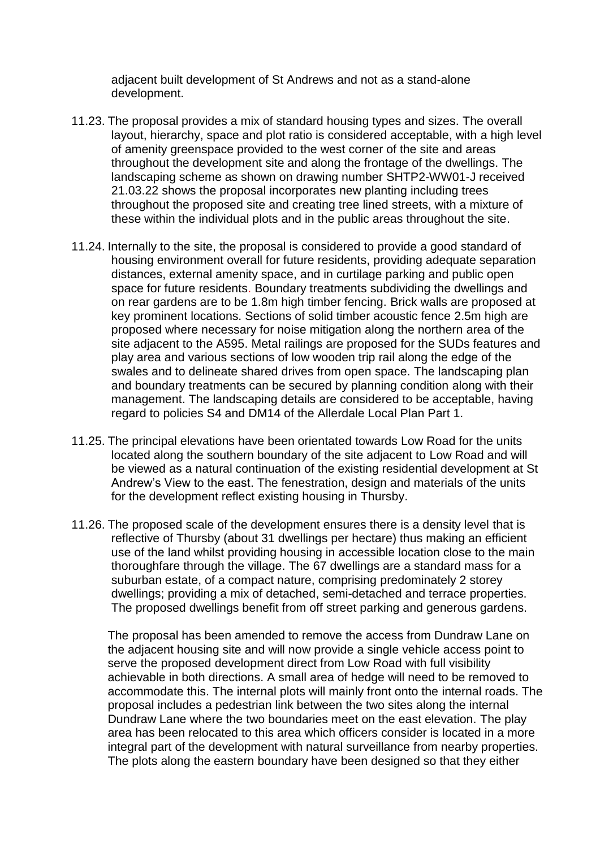adjacent built development of St Andrews and not as a stand-alone development.

- 11.23. The proposal provides a mix of standard housing types and sizes. The overall layout, hierarchy, space and plot ratio is considered acceptable, with a high level of amenity greenspace provided to the west corner of the site and areas throughout the development site and along the frontage of the dwellings. The landscaping scheme as shown on drawing number SHTP2-WW01-J received 21.03.22 shows the proposal incorporates new planting including trees throughout the proposed site and creating tree lined streets, with a mixture of these within the individual plots and in the public areas throughout the site.
- 11.24. Internally to the site, the proposal is considered to provide a good standard of housing environment overall for future residents, providing adequate separation distances, external amenity space, and in curtilage parking and public open space for future residents. Boundary treatments subdividing the dwellings and on rear gardens are to be 1.8m high timber fencing. Brick walls are proposed at key prominent locations. Sections of solid timber acoustic fence 2.5m high are proposed where necessary for noise mitigation along the northern area of the site adjacent to the A595. Metal railings are proposed for the SUDs features and play area and various sections of low wooden trip rail along the edge of the swales and to delineate shared drives from open space. The landscaping plan and boundary treatments can be secured by planning condition along with their management. The landscaping details are considered to be acceptable, having regard to policies S4 and DM14 of the Allerdale Local Plan Part 1.
- 11.25. The principal elevations have been orientated towards Low Road for the units located along the southern boundary of the site adjacent to Low Road and will be viewed as a natural continuation of the existing residential development at St Andrew's View to the east. The fenestration, design and materials of the units for the development reflect existing housing in Thursby.
- 11.26. The proposed scale of the development ensures there is a density level that is reflective of Thursby (about 31 dwellings per hectare) thus making an efficient use of the land whilst providing housing in accessible location close to the main thoroughfare through the village. The 67 dwellings are a standard mass for a suburban estate, of a compact nature, comprising predominately 2 storey dwellings; providing a mix of detached, semi-detached and terrace properties. The proposed dwellings benefit from off street parking and generous gardens.

The proposal has been amended to remove the access from Dundraw Lane on the adjacent housing site and will now provide a single vehicle access point to serve the proposed development direct from Low Road with full visibility achievable in both directions. A small area of hedge will need to be removed to accommodate this. The internal plots will mainly front onto the internal roads. The proposal includes a pedestrian link between the two sites along the internal Dundraw Lane where the two boundaries meet on the east elevation. The play area has been relocated to this area which officers consider is located in a more integral part of the development with natural surveillance from nearby properties. The plots along the eastern boundary have been designed so that they either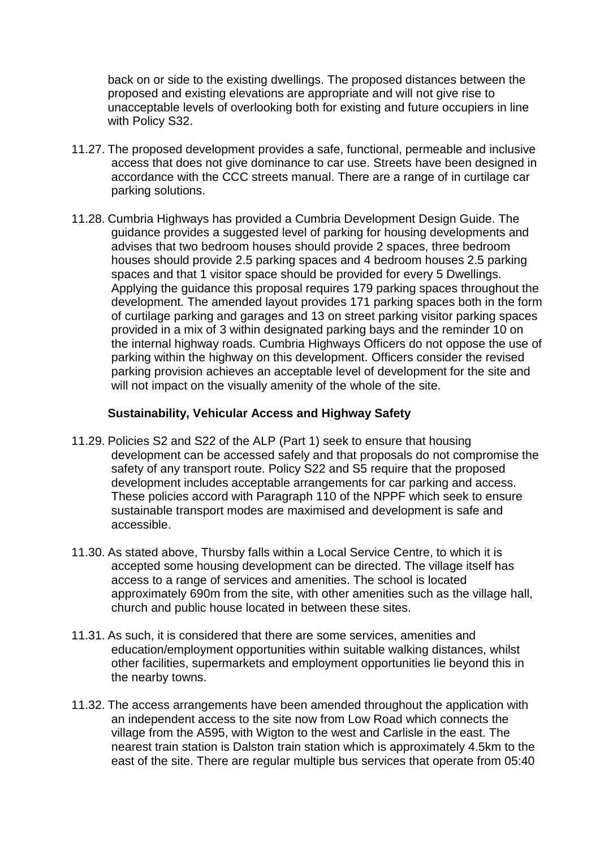back on or side to the existing dwellings. The proposed distances between the proposed and existing elevations are appropriate and will not give rise to unacceptable levels of overlooking both for existing and future occupiers in line with Policy S32.

- 11.27. The proposed development provides a safe, functional, permeable and inclusive access that does not give dominance to car use. Streets have been designed in accordance with the CCC streets manual. There are a range of in curtilage car parking solutions.
- 11.28. Cumbria Highways has provided a Cumbria Development Design Guide. The guidance provides a suggested level of parking for housing developments and advises that two bedroom houses should provide 2 spaces, three bedroom houses should provide 2.5 parking spaces and 4 bedroom houses 2.5 parking spaces and that 1 visitor space should be provided for every 5 Dwellings. Applying the guidance this proposal requires 179 parking spaces throughout the development. The amended layout provides 171 parking spaces both in the form of curtilage parking and garages and 13 on street parking visitor parking spaces provided in a mix of 3 within designated parking bays and the reminder 10 on the internal highway roads. Cumbria Highways Officers do not oppose the use of parking within the highway on this development. Officers consider the revised parking provision achieves an acceptable level of development for the site and will not impact on the visually amenity of the whole of the site.

### **Sustainability, Vehicular Access and Highway Safety**

- 11.29. Policies S2 and S22 of the ALP (Part 1) seek to ensure that housing development can be accessed safely and that proposals do not compromise the safety of any transport route. Policy S22 and S5 require that the proposed development includes acceptable arrangements for car parking and access. These policies accord with Paragraph 110 of the NPPF which seek to ensure sustainable transport modes are maximised and development is safe and accessible.
- 11.30. As stated above, Thursby falls within a Local Service Centre, to which it is accepted some housing development can be directed. The village itself has access to a range of services and amenities. The school is located approximately 690m from the site, with other amenities such as the village hall, church and public house located in between these sites.
- 11.31. As such, it is considered that there are some services, amenities and education/employment opportunities within suitable walking distances, whilst other facilities, supermarkets and employment opportunities lie beyond this in the nearby towns.
- 11.32. The access arrangements have been amended throughout the application with an independent access to the site now from Low Road which connects the village from the A595, with Wigton to the west and Carlisle in the east. The nearest train station is Dalston train station which is approximately 4.5km to the east of the site. There are regular multiple bus services that operate from 05:40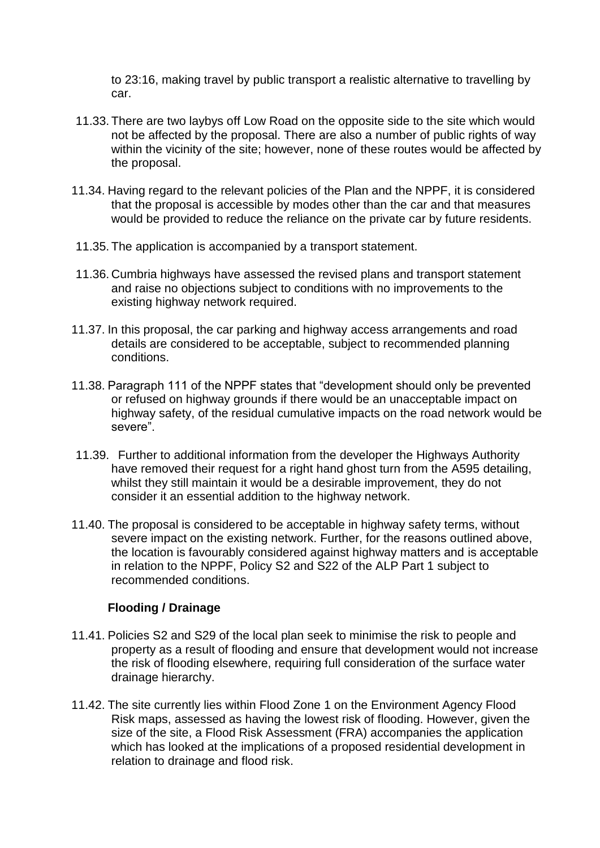to 23:16, making travel by public transport a realistic alternative to travelling by car.

- 11.33. There are two laybys off Low Road on the opposite side to the site which would not be affected by the proposal. There are also a number of public rights of way within the vicinity of the site; however, none of these routes would be affected by the proposal.
- 11.34. Having regard to the relevant policies of the Plan and the NPPF, it is considered that the proposal is accessible by modes other than the car and that measures would be provided to reduce the reliance on the private car by future residents.
- 11.35. The application is accompanied by a transport statement.
- 11.36. Cumbria highways have assessed the revised plans and transport statement and raise no objections subject to conditions with no improvements to the existing highway network required.
- 11.37. In this proposal, the car parking and highway access arrangements and road details are considered to be acceptable, subject to recommended planning conditions.
- 11.38. Paragraph 111 of the NPPF states that "development should only be prevented or refused on highway grounds if there would be an unacceptable impact on highway safety, of the residual cumulative impacts on the road network would be severe".
- 11.39. Further to additional information from the developer the Highways Authority have removed their request for a right hand ghost turn from the A595 detailing. whilst they still maintain it would be a desirable improvement, they do not consider it an essential addition to the highway network.
- 11.40. The proposal is considered to be acceptable in highway safety terms, without severe impact on the existing network. Further, for the reasons outlined above, the location is favourably considered against highway matters and is acceptable in relation to the NPPF, Policy S2 and S22 of the ALP Part 1 subject to recommended conditions.

# **Flooding / Drainage**

- 11.41. Policies S2 and S29 of the local plan seek to minimise the risk to people and property as a result of flooding and ensure that development would not increase the risk of flooding elsewhere, requiring full consideration of the surface water drainage hierarchy.
- 11.42. The site currently lies within Flood Zone 1 on the Environment Agency Flood Risk maps, assessed as having the lowest risk of flooding. However, given the size of the site, a Flood Risk Assessment (FRA) accompanies the application which has looked at the implications of a proposed residential development in relation to drainage and flood risk.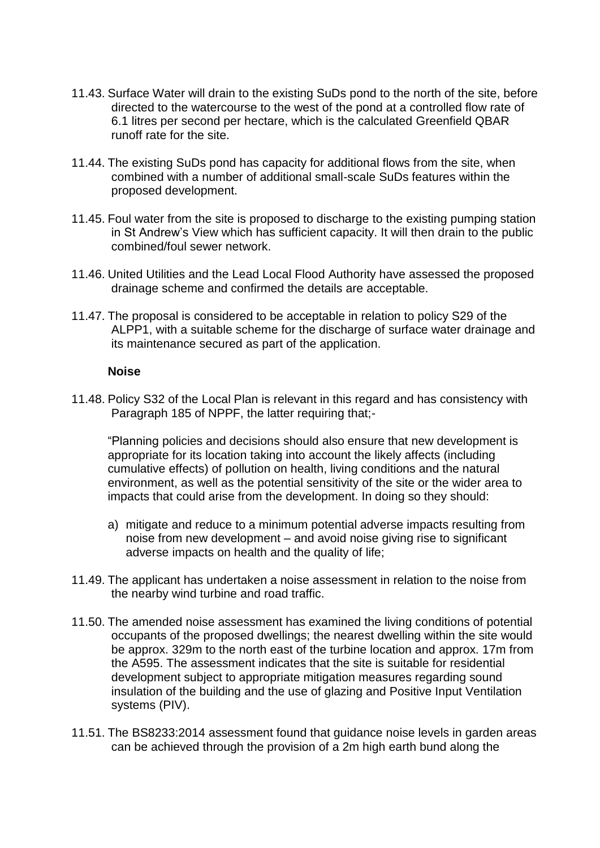- 11.43. Surface Water will drain to the existing SuDs pond to the north of the site, before directed to the watercourse to the west of the pond at a controlled flow rate of 6.1 litres per second per hectare, which is the calculated Greenfield QBAR runoff rate for the site.
- 11.44. The existing SuDs pond has capacity for additional flows from the site, when combined with a number of additional small-scale SuDs features within the proposed development.
- 11.45. Foul water from the site is proposed to discharge to the existing pumping station in St Andrew's View which has sufficient capacity. It will then drain to the public combined/foul sewer network.
- 11.46. United Utilities and the Lead Local Flood Authority have assessed the proposed drainage scheme and confirmed the details are acceptable.
- 11.47. The proposal is considered to be acceptable in relation to policy S29 of the ALPP1, with a suitable scheme for the discharge of surface water drainage and its maintenance secured as part of the application.

#### **Noise**

11.48. Policy S32 of the Local Plan is relevant in this regard and has consistency with Paragraph 185 of NPPF, the latter requiring that;-

"Planning policies and decisions should also ensure that new development is appropriate for its location taking into account the likely affects (including cumulative effects) of pollution on health, living conditions and the natural environment, as well as the potential sensitivity of the site or the wider area to impacts that could arise from the development. In doing so they should:

- a) mitigate and reduce to a minimum potential adverse impacts resulting from noise from new development – and avoid noise giving rise to significant adverse impacts on health and the quality of life;
- 11.49. The applicant has undertaken a noise assessment in relation to the noise from the nearby wind turbine and road traffic.
- 11.50. The amended noise assessment has examined the living conditions of potential occupants of the proposed dwellings; the nearest dwelling within the site would be approx. 329m to the north east of the turbine location and approx. 17m from the A595. The assessment indicates that the site is suitable for residential development subject to appropriate mitigation measures regarding sound insulation of the building and the use of glazing and Positive Input Ventilation systems (PIV).
- 11.51. The BS8233:2014 assessment found that guidance noise levels in garden areas can be achieved through the provision of a 2m high earth bund along the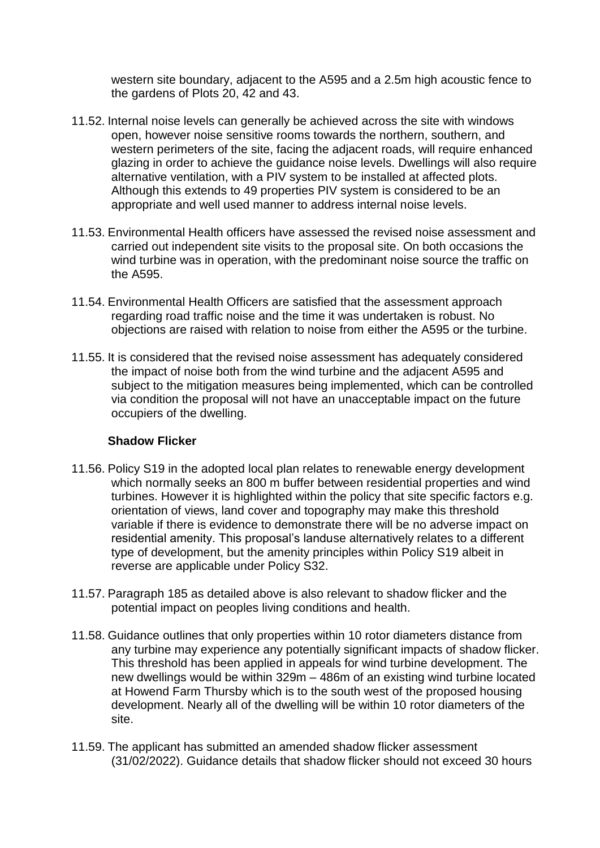western site boundary, adjacent to the A595 and a 2.5m high acoustic fence to the gardens of Plots 20, 42 and 43.

- 11.52. Internal noise levels can generally be achieved across the site with windows open, however noise sensitive rooms towards the northern, southern, and western perimeters of the site, facing the adjacent roads, will require enhanced glazing in order to achieve the guidance noise levels. Dwellings will also require alternative ventilation, with a PIV system to be installed at affected plots. Although this extends to 49 properties PIV system is considered to be an appropriate and well used manner to address internal noise levels.
- 11.53. Environmental Health officers have assessed the revised noise assessment and carried out independent site visits to the proposal site. On both occasions the wind turbine was in operation, with the predominant noise source the traffic on the A595.
- 11.54. Environmental Health Officers are satisfied that the assessment approach regarding road traffic noise and the time it was undertaken is robust. No objections are raised with relation to noise from either the A595 or the turbine.
- 11.55. It is considered that the revised noise assessment has adequately considered the impact of noise both from the wind turbine and the adjacent A595 and subject to the mitigation measures being implemented, which can be controlled via condition the proposal will not have an unacceptable impact on the future occupiers of the dwelling.

### **Shadow Flicker**

- 11.56. Policy S19 in the adopted local plan relates to renewable energy development which normally seeks an 800 m buffer between residential properties and wind turbines. However it is highlighted within the policy that site specific factors e.g. orientation of views, land cover and topography may make this threshold variable if there is evidence to demonstrate there will be no adverse impact on residential amenity. This proposal's landuse alternatively relates to a different type of development, but the amenity principles within Policy S19 albeit in reverse are applicable under Policy S32.
- 11.57. Paragraph 185 as detailed above is also relevant to shadow flicker and the potential impact on peoples living conditions and health.
- 11.58. Guidance outlines that only properties within 10 rotor diameters distance from any turbine may experience any potentially significant impacts of shadow flicker. This threshold has been applied in appeals for wind turbine development. The new dwellings would be within 329m – 486m of an existing wind turbine located at Howend Farm Thursby which is to the south west of the proposed housing development. Nearly all of the dwelling will be within 10 rotor diameters of the site.
- 11.59. The applicant has submitted an amended shadow flicker assessment (31/02/2022). Guidance details that shadow flicker should not exceed 30 hours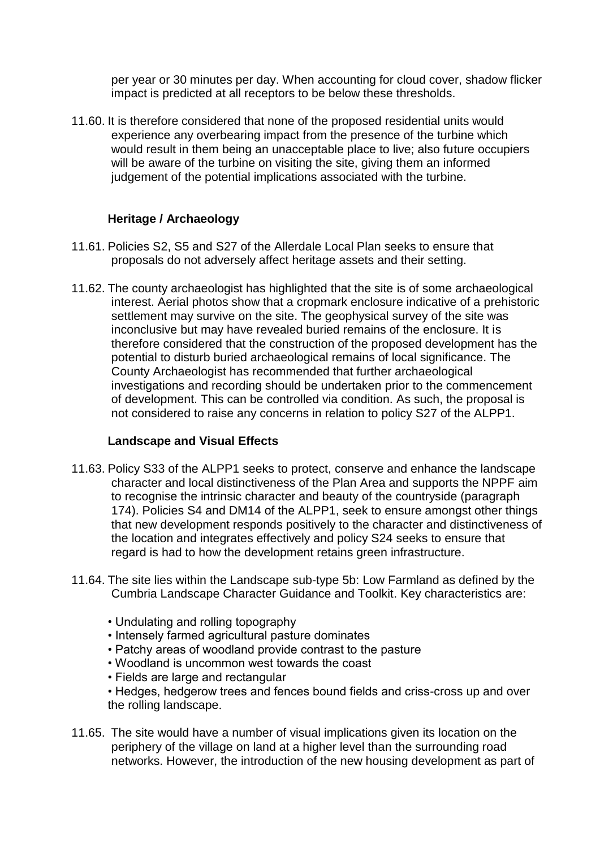per year or 30 minutes per day. When accounting for cloud cover, shadow flicker impact is predicted at all receptors to be below these thresholds.

11.60. It is therefore considered that none of the proposed residential units would experience any overbearing impact from the presence of the turbine which would result in them being an unacceptable place to live; also future occupiers will be aware of the turbine on visiting the site, giving them an informed judgement of the potential implications associated with the turbine.

## **Heritage / Archaeology**

- 11.61. Policies S2, S5 and S27 of the Allerdale Local Plan seeks to ensure that proposals do not adversely affect heritage assets and their setting.
- 11.62. The county archaeologist has highlighted that the site is of some archaeological interest. Aerial photos show that a cropmark enclosure indicative of a prehistoric settlement may survive on the site. The geophysical survey of the site was inconclusive but may have revealed buried remains of the enclosure. It is therefore considered that the construction of the proposed development has the potential to disturb buried archaeological remains of local significance. The County Archaeologist has recommended that further archaeological investigations and recording should be undertaken prior to the commencement of development. This can be controlled via condition. As such, the proposal is not considered to raise any concerns in relation to policy S27 of the ALPP1.

### **Landscape and Visual Effects**

- 11.63. Policy S33 of the ALPP1 seeks to protect, conserve and enhance the landscape character and local distinctiveness of the Plan Area and supports the NPPF aim to recognise the intrinsic character and beauty of the countryside (paragraph 174). Policies S4 and DM14 of the ALPP1, seek to ensure amongst other things that new development responds positively to the character and distinctiveness of the location and integrates effectively and policy S24 seeks to ensure that regard is had to how the development retains green infrastructure.
- 11.64. The site lies within the Landscape sub-type 5b: Low Farmland as defined by the Cumbria Landscape Character Guidance and Toolkit. Key characteristics are:
	- Undulating and rolling topography
	- Intensely farmed agricultural pasture dominates
	- Patchy areas of woodland provide contrast to the pasture
	- Woodland is uncommon west towards the coast
	- Fields are large and rectangular
	- Hedges, hedgerow trees and fences bound fields and criss-cross up and over the rolling landscape.
- 11.65. The site would have a number of visual implications given its location on the periphery of the village on land at a higher level than the surrounding road networks. However, the introduction of the new housing development as part of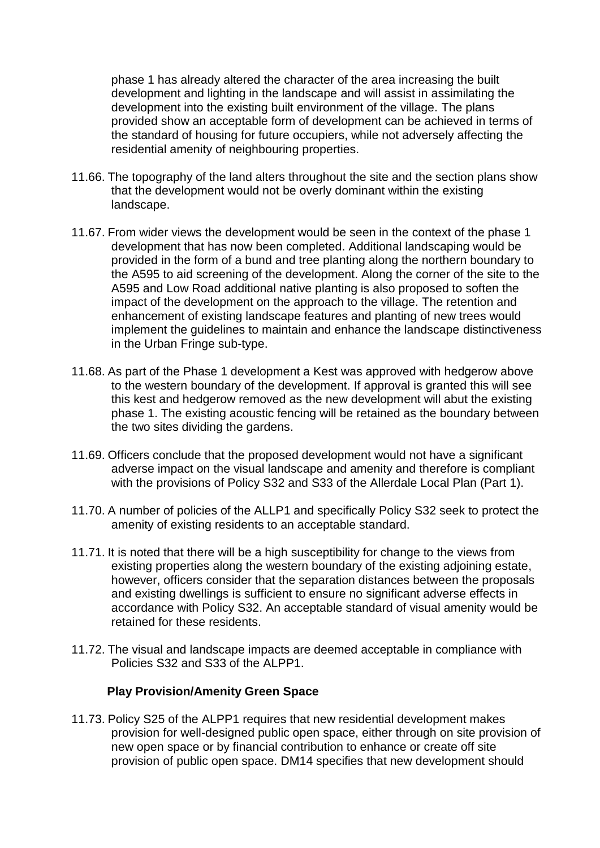phase 1 has already altered the character of the area increasing the built development and lighting in the landscape and will assist in assimilating the development into the existing built environment of the village. The plans provided show an acceptable form of development can be achieved in terms of the standard of housing for future occupiers, while not adversely affecting the residential amenity of neighbouring properties.

- 11.66. The topography of the land alters throughout the site and the section plans show that the development would not be overly dominant within the existing landscape.
- 11.67. From wider views the development would be seen in the context of the phase 1 development that has now been completed. Additional landscaping would be provided in the form of a bund and tree planting along the northern boundary to the A595 to aid screening of the development. Along the corner of the site to the A595 and Low Road additional native planting is also proposed to soften the impact of the development on the approach to the village. The retention and enhancement of existing landscape features and planting of new trees would implement the guidelines to maintain and enhance the landscape distinctiveness in the Urban Fringe sub-type.
- 11.68. As part of the Phase 1 development a Kest was approved with hedgerow above to the western boundary of the development. If approval is granted this will see this kest and hedgerow removed as the new development will abut the existing phase 1. The existing acoustic fencing will be retained as the boundary between the two sites dividing the gardens.
- 11.69. Officers conclude that the proposed development would not have a significant adverse impact on the visual landscape and amenity and therefore is compliant with the provisions of Policy S32 and S33 of the Allerdale Local Plan (Part 1).
- 11.70. A number of policies of the ALLP1 and specifically Policy S32 seek to protect the amenity of existing residents to an acceptable standard.
- 11.71. It is noted that there will be a high susceptibility for change to the views from existing properties along the western boundary of the existing adjoining estate, however, officers consider that the separation distances between the proposals and existing dwellings is sufficient to ensure no significant adverse effects in accordance with Policy S32. An acceptable standard of visual amenity would be retained for these residents.
- 11.72. The visual and landscape impacts are deemed acceptable in compliance with Policies S32 and S33 of the ALPP1.

### **Play Provision/Amenity Green Space**

11.73. Policy S25 of the ALPP1 requires that new residential development makes provision for well-designed public open space, either through on site provision of new open space or by financial contribution to enhance or create off site provision of public open space. DM14 specifies that new development should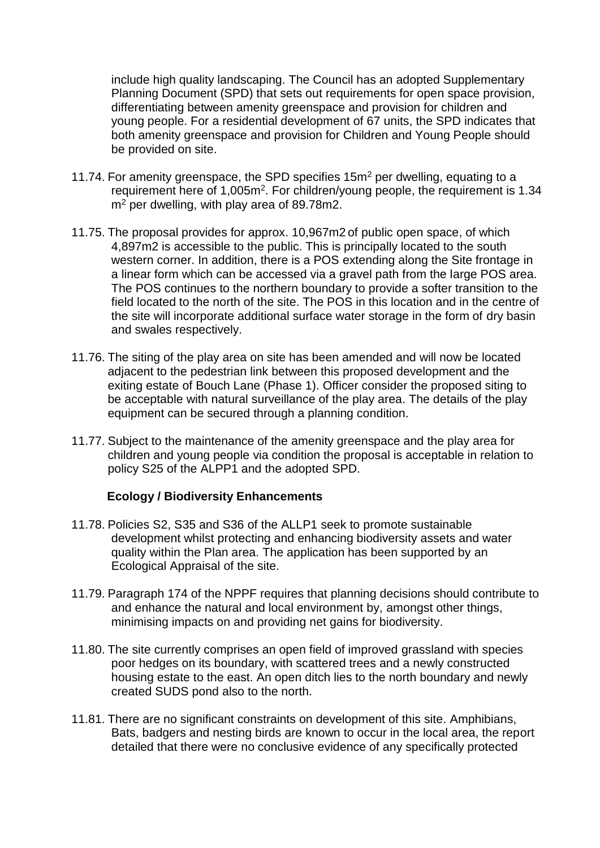include high quality landscaping. The Council has an adopted Supplementary Planning Document (SPD) that sets out requirements for open space provision, differentiating between amenity greenspace and provision for children and young people. For a residential development of 67 units, the SPD indicates that both amenity greenspace and provision for Children and Young People should be provided on site.

- 11.74. For amenity greenspace, the SPD specifies  $15m<sup>2</sup>$  per dwelling, equating to a requirement here of 1,005m<sup>2</sup>. For children/young people, the requirement is 1.34 m<sup>2</sup> per dwelling, with play area of 89.78m2.
- 11.75. The proposal provides for approx. 10,967m2 of public open space, of which 4,897m2 is accessible to the public. This is principally located to the south western corner. In addition, there is a POS extending along the Site frontage in a linear form which can be accessed via a gravel path from the large POS area. The POS continues to the northern boundary to provide a softer transition to the field located to the north of the site. The POS in this location and in the centre of the site will incorporate additional surface water storage in the form of dry basin and swales respectively.
- 11.76. The siting of the play area on site has been amended and will now be located adjacent to the pedestrian link between this proposed development and the exiting estate of Bouch Lane (Phase 1). Officer consider the proposed siting to be acceptable with natural surveillance of the play area. The details of the play equipment can be secured through a planning condition.
- 11.77. Subject to the maintenance of the amenity greenspace and the play area for children and young people via condition the proposal is acceptable in relation to policy S25 of the ALPP1 and the adopted SPD.

### **Ecology / Biodiversity Enhancements**

- 11.78. Policies S2, S35 and S36 of the ALLP1 seek to promote sustainable development whilst protecting and enhancing biodiversity assets and water quality within the Plan area. The application has been supported by an Ecological Appraisal of the site.
- 11.79. Paragraph 174 of the NPPF requires that planning decisions should contribute to and enhance the natural and local environment by, amongst other things, minimising impacts on and providing net gains for biodiversity.
- 11.80. The site currently comprises an open field of improved grassland with species poor hedges on its boundary, with scattered trees and a newly constructed housing estate to the east. An open ditch lies to the north boundary and newly created SUDS pond also to the north.
- 11.81. There are no significant constraints on development of this site. Amphibians, Bats, badgers and nesting birds are known to occur in the local area, the report detailed that there were no conclusive evidence of any specifically protected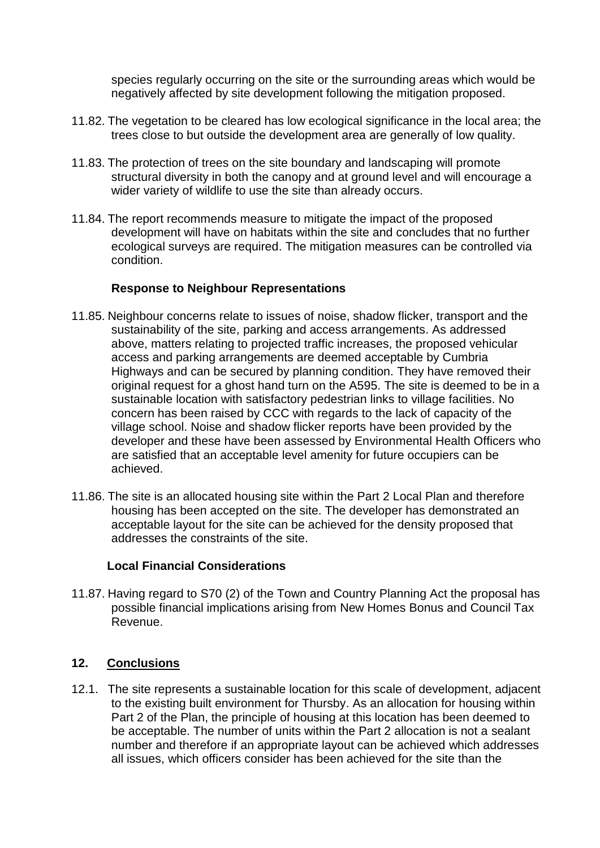species regularly occurring on the site or the surrounding areas which would be negatively affected by site development following the mitigation proposed.

- 11.82. The vegetation to be cleared has low ecological significance in the local area; the trees close to but outside the development area are generally of low quality.
- 11.83. The protection of trees on the site boundary and landscaping will promote structural diversity in both the canopy and at ground level and will encourage a wider variety of wildlife to use the site than already occurs.
- 11.84. The report recommends measure to mitigate the impact of the proposed development will have on habitats within the site and concludes that no further ecological surveys are required. The mitigation measures can be controlled via condition.

### **Response to Neighbour Representations**

- 11.85. Neighbour concerns relate to issues of noise, shadow flicker, transport and the sustainability of the site, parking and access arrangements. As addressed above, matters relating to projected traffic increases, the proposed vehicular access and parking arrangements are deemed acceptable by Cumbria Highways and can be secured by planning condition. They have removed their original request for a ghost hand turn on the A595. The site is deemed to be in a sustainable location with satisfactory pedestrian links to village facilities. No concern has been raised by CCC with regards to the lack of capacity of the village school. Noise and shadow flicker reports have been provided by the developer and these have been assessed by Environmental Health Officers who are satisfied that an acceptable level amenity for future occupiers can be achieved.
- 11.86. The site is an allocated housing site within the Part 2 Local Plan and therefore housing has been accepted on the site. The developer has demonstrated an acceptable layout for the site can be achieved for the density proposed that addresses the constraints of the site.

### **Local Financial Considerations**

11.87. Having regard to S70 (2) of the Town and Country Planning Act the proposal has possible financial implications arising from New Homes Bonus and Council Tax Revenue.

### **12. Conclusions**

12.1. The site represents a sustainable location for this scale of development, adjacent to the existing built environment for Thursby. As an allocation for housing within Part 2 of the Plan, the principle of housing at this location has been deemed to be acceptable. The number of units within the Part 2 allocation is not a sealant number and therefore if an appropriate layout can be achieved which addresses all issues, which officers consider has been achieved for the site than the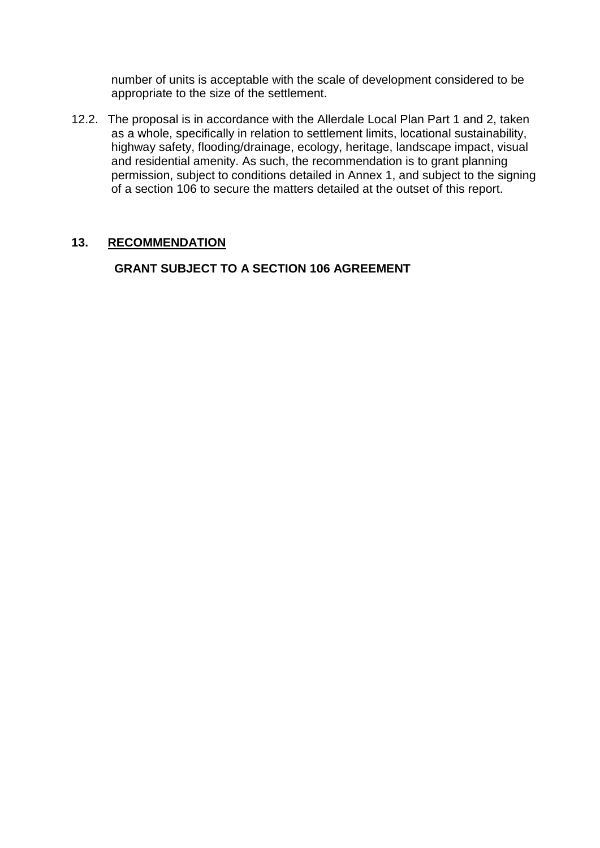number of units is acceptable with the scale of development considered to be appropriate to the size of the settlement.

12.2. The proposal is in accordance with the Allerdale Local Plan Part 1 and 2, taken as a whole, specifically in relation to settlement limits, locational sustainability, highway safety, flooding/drainage, ecology, heritage, landscape impact, visual and residential amenity. As such, the recommendation is to grant planning permission, subject to conditions detailed in Annex 1, and subject to the signing of a section 106 to secure the matters detailed at the outset of this report.

## **13. RECOMMENDATION**

**GRANT SUBJECT TO A SECTION 106 AGREEMENT**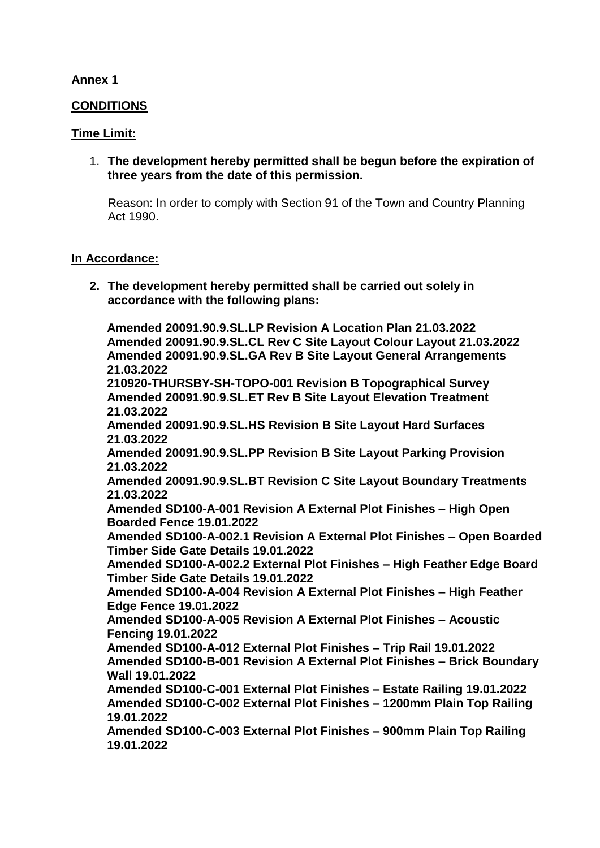### **Annex 1**

### **CONDITIONS**

### **Time Limit:**

1. **The development hereby permitted shall be begun before the expiration of three years from the date of this permission.**

Reason: In order to comply with Section 91 of the Town and Country Planning Act 1990.

### **In Accordance:**

**2. The development hereby permitted shall be carried out solely in accordance with the following plans:**

**Amended 20091.90.9.SL.LP Revision A Location Plan 21.03.2022 Amended 20091.90.9.SL.CL Rev C Site Layout Colour Layout 21.03.2022 Amended 20091.90.9.SL.GA Rev B Site Layout General Arrangements 21.03.2022 210920-THURSBY-SH-TOPO-001 Revision B Topographical Survey Amended 20091.90.9.SL.ET Rev B Site Layout Elevation Treatment 21.03.2022 Amended 20091.90.9.SL.HS Revision B Site Layout Hard Surfaces 21.03.2022 Amended 20091.90.9.SL.PP Revision B Site Layout Parking Provision 21.03.2022 Amended 20091.90.9.SL.BT Revision C Site Layout Boundary Treatments 21.03.2022 Amended SD100-A-001 Revision A External Plot Finishes – High Open Boarded Fence 19.01.2022 Amended SD100-A-002.1 Revision A External Plot Finishes – Open Boarded Timber Side Gate Details 19.01.2022 Amended SD100-A-002.2 External Plot Finishes – High Feather Edge Board Timber Side Gate Details 19.01.2022 Amended SD100-A-004 Revision A External Plot Finishes – High Feather Edge Fence 19.01.2022 Amended SD100-A-005 Revision A External Plot Finishes – Acoustic Fencing 19.01.2022 Amended SD100-A-012 External Plot Finishes – Trip Rail 19.01.2022 Amended SD100-B-001 Revision A External Plot Finishes – Brick Boundary Wall 19.01.2022 Amended SD100-C-001 External Plot Finishes – Estate Railing 19.01.2022 Amended SD100-C-002 External Plot Finishes – 1200mm Plain Top Railing 19.01.2022 Amended SD100-C-003 External Plot Finishes – 900mm Plain Top Railing 19.01.2022**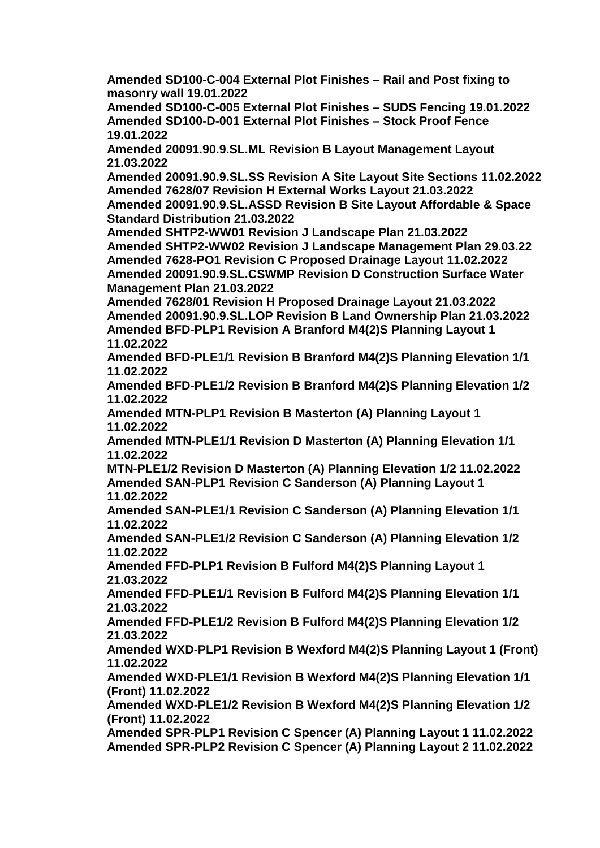**Amended SD100-C-004 External Plot Finishes – Rail and Post fixing to masonry wall 19.01.2022**

**Amended SD100-C-005 External Plot Finishes – SUDS Fencing 19.01.2022 Amended SD100-D-001 External Plot Finishes – Stock Proof Fence 19.01.2022**

**Amended 20091.90.9.SL.ML Revision B Layout Management Layout 21.03.2022**

**Amended 20091.90.9.SL.SS Revision A Site Layout Site Sections 11.02.2022 Amended 7628/07 Revision H External Works Layout 21.03.2022 Amended 20091.90.9.SL.ASSD Revision B Site Layout Affordable & Space** 

**Standard Distribution 21.03.2022**

**Amended SHTP2-WW01 Revision J Landscape Plan 21.03.2022 Amended SHTP2-WW02 Revision J Landscape Management Plan 29.03.22 Amended 7628-PO1 Revision C Proposed Drainage Layout 11.02.2022**

**Amended 20091.90.9.SL.CSWMP Revision D Construction Surface Water Management Plan 21.03.2022**

**Amended 7628/01 Revision H Proposed Drainage Layout 21.03.2022 Amended 20091.90.9.SL.LOP Revision B Land Ownership Plan 21.03.2022 Amended BFD-PLP1 Revision A Branford M4(2)S Planning Layout 1 11.02.2022**

**Amended BFD-PLE1/1 Revision B Branford M4(2)S Planning Elevation 1/1 11.02.2022**

**Amended BFD-PLE1/2 Revision B Branford M4(2)S Planning Elevation 1/2 11.02.2022**

**Amended MTN-PLP1 Revision B Masterton (A) Planning Layout 1 11.02.2022**

**Amended MTN-PLE1/1 Revision D Masterton (A) Planning Elevation 1/1 11.02.2022**

**MTN-PLE1/2 Revision D Masterton (A) Planning Elevation 1/2 11.02.2022 Amended SAN-PLP1 Revision C Sanderson (A) Planning Layout 1 11.02.2022**

**Amended SAN-PLE1/1 Revision C Sanderson (A) Planning Elevation 1/1 11.02.2022**

**Amended SAN-PLE1/2 Revision C Sanderson (A) Planning Elevation 1/2 11.02.2022**

**Amended FFD-PLP1 Revision B Fulford M4(2)S Planning Layout 1 21.03.2022**

**Amended FFD-PLE1/1 Revision B Fulford M4(2)S Planning Elevation 1/1 21.03.2022**

**Amended FFD-PLE1/2 Revision B Fulford M4(2)S Planning Elevation 1/2 21.03.2022**

**Amended WXD-PLP1 Revision B Wexford M4(2)S Planning Layout 1 (Front) 11.02.2022**

**Amended WXD-PLE1/1 Revision B Wexford M4(2)S Planning Elevation 1/1 (Front) 11.02.2022**

**Amended WXD-PLE1/2 Revision B Wexford M4(2)S Planning Elevation 1/2 (Front) 11.02.2022**

**Amended SPR-PLP1 Revision C Spencer (A) Planning Layout 1 11.02.2022 Amended SPR-PLP2 Revision C Spencer (A) Planning Layout 2 11.02.2022**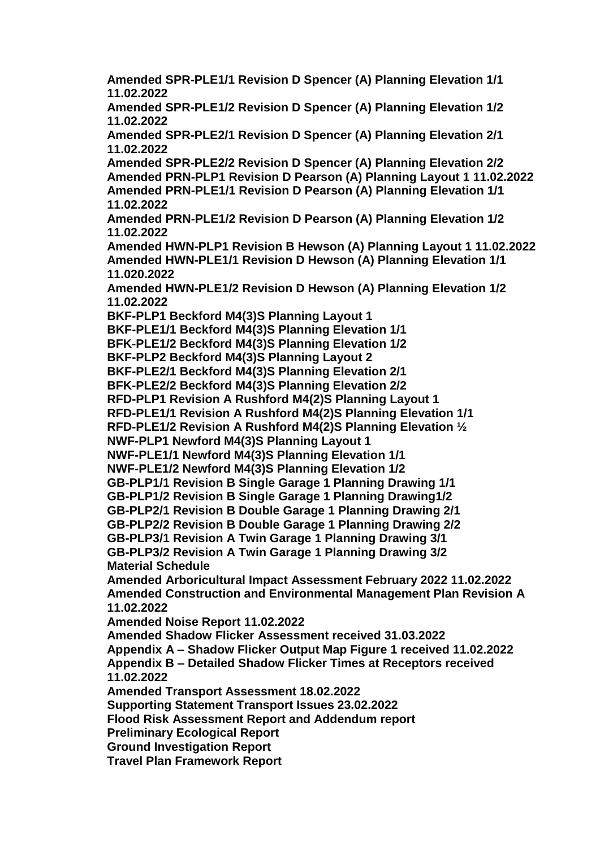**Amended SPR-PLE1/1 Revision D Spencer (A) Planning Elevation 1/1 11.02.2022 Amended SPR-PLE1/2 Revision D Spencer (A) Planning Elevation 1/2 11.02.2022 Amended SPR-PLE2/1 Revision D Spencer (A) Planning Elevation 2/1 11.02.2022 Amended SPR-PLE2/2 Revision D Spencer (A) Planning Elevation 2/2 Amended PRN-PLP1 Revision D Pearson (A) Planning Layout 1 11.02.2022 Amended PRN-PLE1/1 Revision D Pearson (A) Planning Elevation 1/1 11.02.2022 Amended PRN-PLE1/2 Revision D Pearson (A) Planning Elevation 1/2 11.02.2022 Amended HWN-PLP1 Revision B Hewson (A) Planning Layout 1 11.02.2022 Amended HWN-PLE1/1 Revision D Hewson (A) Planning Elevation 1/1 11.020.2022 Amended HWN-PLE1/2 Revision D Hewson (A) Planning Elevation 1/2 11.02.2022 BKF-PLP1 Beckford M4(3)S Planning Layout 1 BKF-PLE1/1 Beckford M4(3)S Planning Elevation 1/1 BFK-PLE1/2 Beckford M4(3)S Planning Elevation 1/2 BKF-PLP2 Beckford M4(3)S Planning Layout 2 BKF-PLE2/1 Beckford M4(3)S Planning Elevation 2/1 BFK-PLE2/2 Beckford M4(3)S Planning Elevation 2/2 RFD-PLP1 Revision A Rushford M4(2)S Planning Layout 1 RFD-PLE1/1 Revision A Rushford M4(2)S Planning Elevation 1/1 RFD-PLE1/2 Revision A Rushford M4(2)S Planning Elevation ½ NWF-PLP1 Newford M4(3)S Planning Layout 1 NWF-PLE1/1 Newford M4(3)S Planning Elevation 1/1 NWF-PLE1/2 Newford M4(3)S Planning Elevation 1/2 GB-PLP1/1 Revision B Single Garage 1 Planning Drawing 1/1 GB-PLP1/2 Revision B Single Garage 1 Planning Drawing1/2 GB-PLP2/1 Revision B Double Garage 1 Planning Drawing 2/1 GB-PLP2/2 Revision B Double Garage 1 Planning Drawing 2/2 GB-PLP3/1 Revision A Twin Garage 1 Planning Drawing 3/1 GB-PLP3/2 Revision A Twin Garage 1 Planning Drawing 3/2 Material Schedule Amended Arboricultural Impact Assessment February 2022 11.02.2022 Amended Construction and Environmental Management Plan Revision A 11.02.2022 Amended Noise Report 11.02.2022 Amended Shadow Flicker Assessment received 31.03.2022 Appendix A – Shadow Flicker Output Map Figure 1 received 11.02.2022 Appendix B – Detailed Shadow Flicker Times at Receptors received 11.02.2022 Amended Transport Assessment 18.02.2022 Supporting Statement Transport Issues 23.02.2022 Flood Risk Assessment Report and Addendum report Preliminary Ecological Report Ground Investigation Report Travel Plan Framework Report**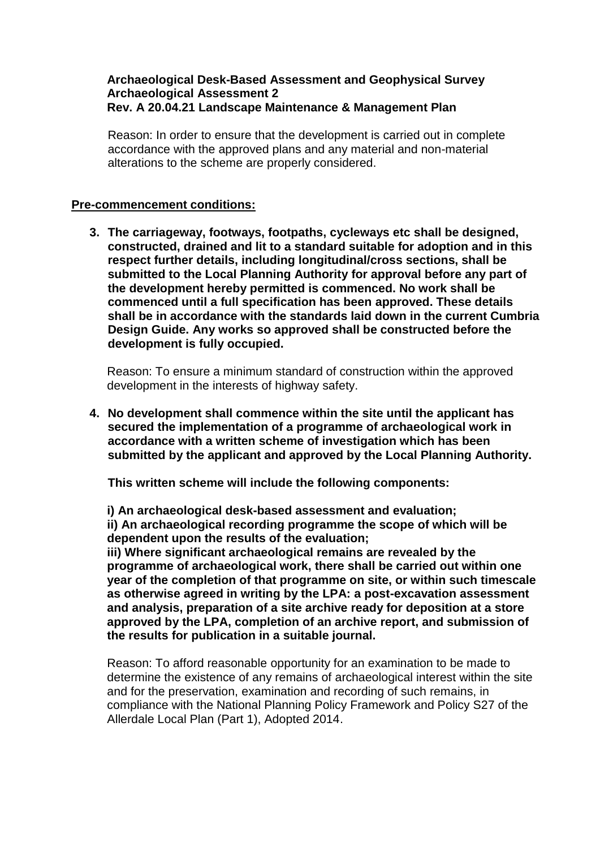#### **Archaeological Desk-Based Assessment and Geophysical Survey Archaeological Assessment 2 Rev. A 20.04.21 Landscape Maintenance & Management Plan**

Reason: In order to ensure that the development is carried out in complete accordance with the approved plans and any material and non-material alterations to the scheme are properly considered.

#### **Pre-commencement conditions:**

**3. The carriageway, footways, footpaths, cycleways etc shall be designed, constructed, drained and lit to a standard suitable for adoption and in this respect further details, including longitudinal/cross sections, shall be submitted to the Local Planning Authority for approval before any part of the development hereby permitted is commenced. No work shall be commenced until a full specification has been approved. These details shall be in accordance with the standards laid down in the current Cumbria Design Guide. Any works so approved shall be constructed before the development is fully occupied.**

Reason: To ensure a minimum standard of construction within the approved development in the interests of highway safety.

**4. No development shall commence within the site until the applicant has secured the implementation of a programme of archaeological work in accordance with a written scheme of investigation which has been submitted by the applicant and approved by the Local Planning Authority.**

**This written scheme will include the following components:**

**i) An archaeological desk-based assessment and evaluation; ii) An archaeological recording programme the scope of which will be dependent upon the results of the evaluation;**

**iii) Where significant archaeological remains are revealed by the programme of archaeological work, there shall be carried out within one year of the completion of that programme on site, or within such timescale as otherwise agreed in writing by the LPA: a post-excavation assessment and analysis, preparation of a site archive ready for deposition at a store approved by the LPA, completion of an archive report, and submission of the results for publication in a suitable journal.**

Reason: To afford reasonable opportunity for an examination to be made to determine the existence of any remains of archaeological interest within the site and for the preservation, examination and recording of such remains, in compliance with the National Planning Policy Framework and Policy S27 of the Allerdale Local Plan (Part 1), Adopted 2014.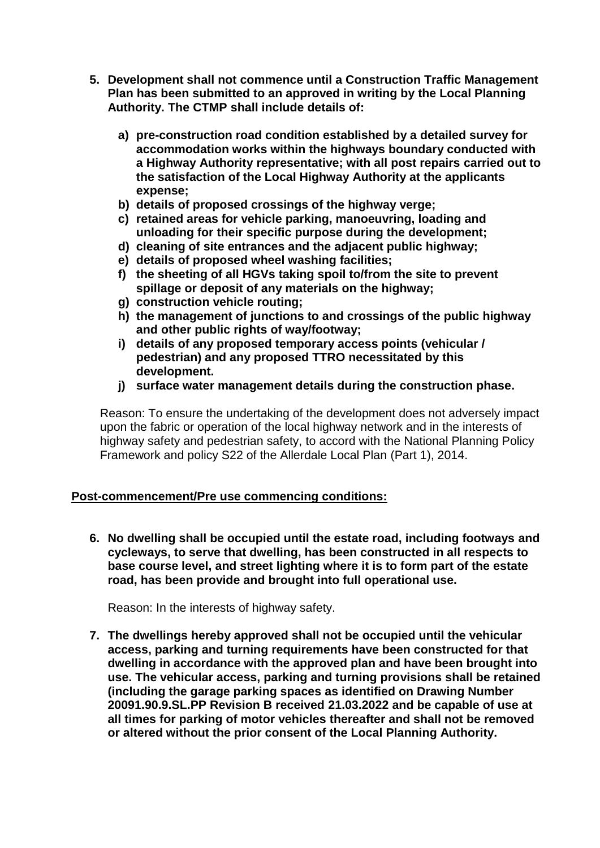- **5. Development shall not commence until a Construction Traffic Management Plan has been submitted to an approved in writing by the Local Planning Authority. The CTMP shall include details of:**
	- **a) pre-construction road condition established by a detailed survey for accommodation works within the highways boundary conducted with a Highway Authority representative; with all post repairs carried out to the satisfaction of the Local Highway Authority at the applicants expense;**
	- **b) details of proposed crossings of the highway verge;**
	- **c) retained areas for vehicle parking, manoeuvring, loading and unloading for their specific purpose during the development;**
	- **d) cleaning of site entrances and the adjacent public highway;**
	- **e) details of proposed wheel washing facilities;**
	- **f) the sheeting of all HGVs taking spoil to/from the site to prevent spillage or deposit of any materials on the highway;**
	- **g) construction vehicle routing;**
	- **h) the management of junctions to and crossings of the public highway and other public rights of way/footway;**
	- **i) details of any proposed temporary access points (vehicular / pedestrian) and any proposed TTRO necessitated by this development.**
	- **j) surface water management details during the construction phase.**

Reason: To ensure the undertaking of the development does not adversely impact upon the fabric or operation of the local highway network and in the interests of highway safety and pedestrian safety, to accord with the National Planning Policy Framework and policy S22 of the Allerdale Local Plan (Part 1), 2014.

### **Post-commencement/Pre use commencing conditions:**

**6. No dwelling shall be occupied until the estate road, including footways and cycleways, to serve that dwelling, has been constructed in all respects to base course level, and street lighting where it is to form part of the estate road, has been provide and brought into full operational use.**

Reason: In the interests of highway safety.

**7. The dwellings hereby approved shall not be occupied until the vehicular access, parking and turning requirements have been constructed for that dwelling in accordance with the approved plan and have been brought into use. The vehicular access, parking and turning provisions shall be retained (including the garage parking spaces as identified on Drawing Number 20091.90.9.SL.PP Revision B received 21.03.2022 and be capable of use at all times for parking of motor vehicles thereafter and shall not be removed or altered without the prior consent of the Local Planning Authority.**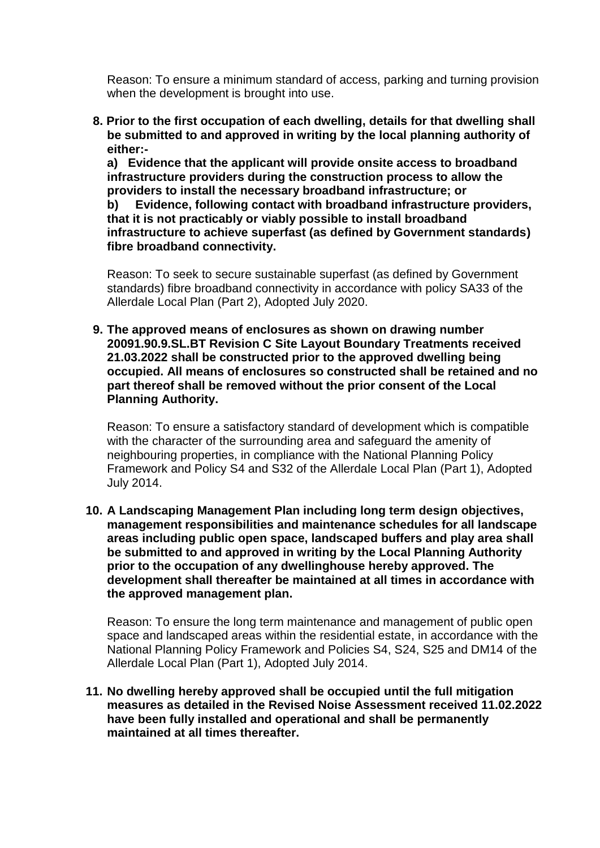Reason: To ensure a minimum standard of access, parking and turning provision when the development is brought into use.

**8. Prior to the first occupation of each dwelling, details for that dwelling shall be submitted to and approved in writing by the local planning authority of either:-**

**a) Evidence that the applicant will provide onsite access to broadband infrastructure providers during the construction process to allow the providers to install the necessary broadband infrastructure; or**

**b) Evidence, following contact with broadband infrastructure providers, that it is not practicably or viably possible to install broadband infrastructure to achieve superfast (as defined by Government standards) fibre broadband connectivity.** 

Reason: To seek to secure sustainable superfast (as defined by Government standards) fibre broadband connectivity in accordance with policy SA33 of the Allerdale Local Plan (Part 2), Adopted July 2020.

**9. The approved means of enclosures as shown on drawing number 20091.90.9.SL.BT Revision C Site Layout Boundary Treatments received 21.03.2022 shall be constructed prior to the approved dwelling being occupied. All means of enclosures so constructed shall be retained and no part thereof shall be removed without the prior consent of the Local Planning Authority.**

Reason: To ensure a satisfactory standard of development which is compatible with the character of the surrounding area and safeguard the amenity of neighbouring properties, in compliance with the National Planning Policy Framework and Policy S4 and S32 of the Allerdale Local Plan (Part 1), Adopted July 2014.

**10. A Landscaping Management Plan including long term design objectives, management responsibilities and maintenance schedules for all landscape areas including public open space, landscaped buffers and play area shall be submitted to and approved in writing by the Local Planning Authority prior to the occupation of any dwellinghouse hereby approved. The development shall thereafter be maintained at all times in accordance with the approved management plan.**

Reason: To ensure the long term maintenance and management of public open space and landscaped areas within the residential estate, in accordance with the National Planning Policy Framework and Policies S4, S24, S25 and DM14 of the Allerdale Local Plan (Part 1), Adopted July 2014.

**11. No dwelling hereby approved shall be occupied until the full mitigation measures as detailed in the Revised Noise Assessment received 11.02.2022 have been fully installed and operational and shall be permanently maintained at all times thereafter.**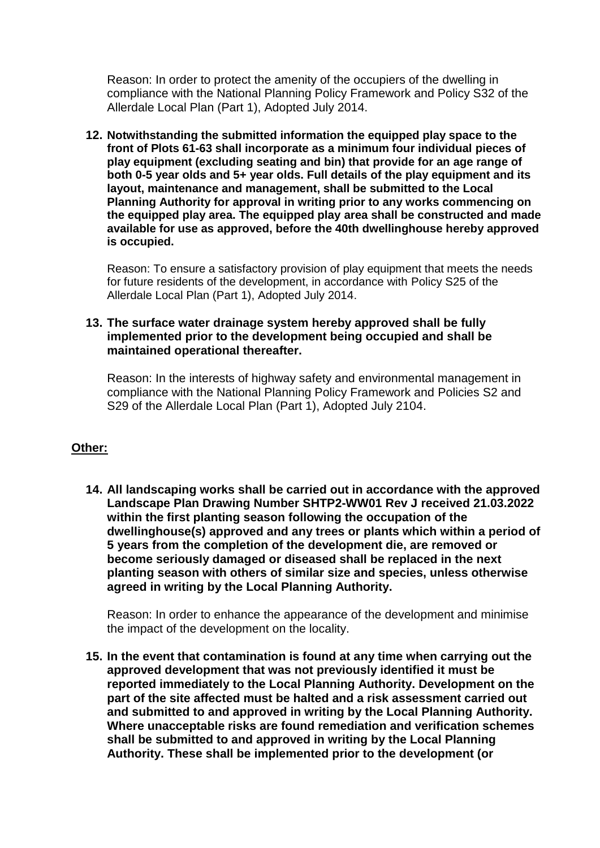Reason: In order to protect the amenity of the occupiers of the dwelling in compliance with the National Planning Policy Framework and Policy S32 of the Allerdale Local Plan (Part 1), Adopted July 2014.

**12. Notwithstanding the submitted information the equipped play space to the front of Plots 61-63 shall incorporate as a minimum four individual pieces of play equipment (excluding seating and bin) that provide for an age range of both 0-5 year olds and 5+ year olds. Full details of the play equipment and its layout, maintenance and management, shall be submitted to the Local Planning Authority for approval in writing prior to any works commencing on the equipped play area. The equipped play area shall be constructed and made available for use as approved, before the 40th dwellinghouse hereby approved is occupied.** 

Reason: To ensure a satisfactory provision of play equipment that meets the needs for future residents of the development, in accordance with Policy S25 of the Allerdale Local Plan (Part 1), Adopted July 2014.

### **13. The surface water drainage system hereby approved shall be fully implemented prior to the development being occupied and shall be maintained operational thereafter.**

Reason: In the interests of highway safety and environmental management in compliance with the National Planning Policy Framework and Policies S2 and S29 of the Allerdale Local Plan (Part 1), Adopted July 2104.

# **Other:**

**14. All landscaping works shall be carried out in accordance with the approved Landscape Plan Drawing Number SHTP2-WW01 Rev J received 21.03.2022 within the first planting season following the occupation of the dwellinghouse(s) approved and any trees or plants which within a period of 5 years from the completion of the development die, are removed or become seriously damaged or diseased shall be replaced in the next planting season with others of similar size and species, unless otherwise agreed in writing by the Local Planning Authority.**

Reason: In order to enhance the appearance of the development and minimise the impact of the development on the locality.

**15. In the event that contamination is found at any time when carrying out the approved development that was not previously identified it must be reported immediately to the Local Planning Authority. Development on the part of the site affected must be halted and a risk assessment carried out and submitted to and approved in writing by the Local Planning Authority. Where unacceptable risks are found remediation and verification schemes shall be submitted to and approved in writing by the Local Planning Authority. These shall be implemented prior to the development (or**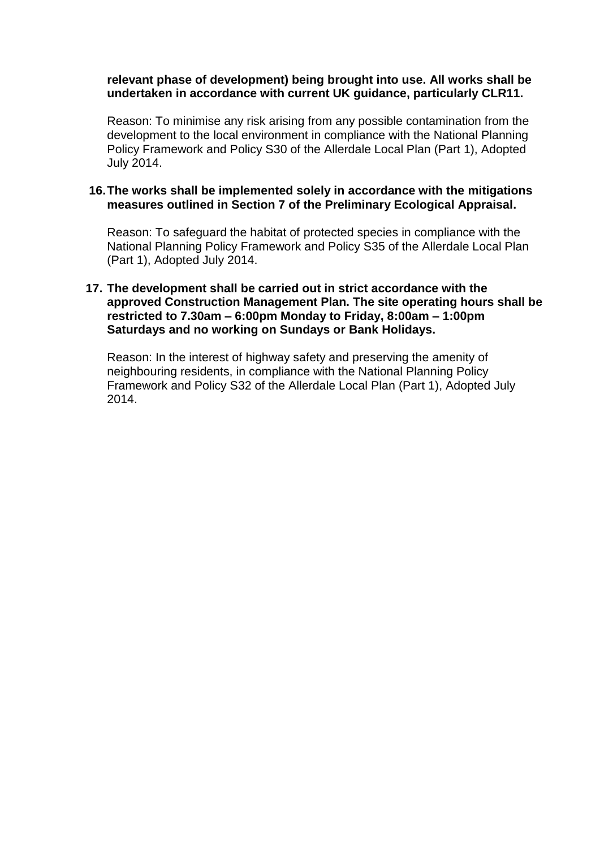#### **relevant phase of development) being brought into use. All works shall be undertaken in accordance with current UK guidance, particularly CLR11.**

Reason: To minimise any risk arising from any possible contamination from the development to the local environment in compliance with the National Planning Policy Framework and Policy S30 of the Allerdale Local Plan (Part 1), Adopted July 2014.

### **16.The works shall be implemented solely in accordance with the mitigations measures outlined in Section 7 of the Preliminary Ecological Appraisal.**

Reason: To safeguard the habitat of protected species in compliance with the National Planning Policy Framework and Policy S35 of the Allerdale Local Plan (Part 1), Adopted July 2014.

#### **17. The development shall be carried out in strict accordance with the approved Construction Management Plan. The site operating hours shall be restricted to 7.30am – 6:00pm Monday to Friday, 8:00am – 1:00pm Saturdays and no working on Sundays or Bank Holidays.**

Reason: In the interest of highway safety and preserving the amenity of neighbouring residents, in compliance with the National Planning Policy Framework and Policy S32 of the Allerdale Local Plan (Part 1), Adopted July 2014.